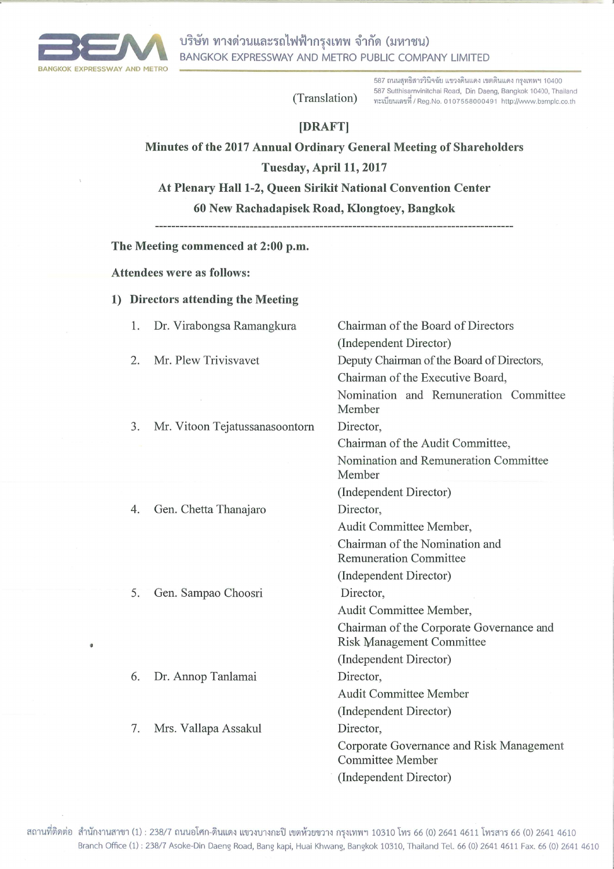

# (Translation)

587 ถนนสุทธิสารวินิจฉัย แขวงดินแดง เขตดินแดง กรุงเทพฯ 10400 587 Sutthisarnvinitchai Road, Din Daeng, Bangkok 10400, Thailand ทะเบียนเลขที่ / Reg.No. 0107558000491 http://www.bemplc.co.th

# [DRAFT]

Minutes of the 2017 Annual Ordinary General Meeting of Shareholders

#### Tuesday, April 11, 2017

At Plenary Hall 1-2, Queen Sirikit National Convention Center

60 New Rachadapisek Road, Klongtoey, Bangkok

The Meeting commenced at 2:00 p.m.

**Attendees were as follows:** 

### 1) Directors attending the Meeting

| 1. | Dr. Virabongsa Ramangkura      | Chairman of the Board of Directors                                           |
|----|--------------------------------|------------------------------------------------------------------------------|
|    |                                | (Independent Director)                                                       |
| 2. | Mr. Plew Trivisvavet           | Deputy Chairman of the Board of Directors,                                   |
|    |                                | Chairman of the Executive Board,                                             |
|    |                                | Nomination and Remuneration Committee<br>Member                              |
| 3. | Mr. Vitoon Tejatussanasoontorn | Director,                                                                    |
|    |                                | Chairman of the Audit Committee,                                             |
|    |                                | Nomination and Remuneration Committee<br>Member                              |
|    |                                | (Independent Director)                                                       |
| 4. | Gen. Chetta Thanajaro          | Director,                                                                    |
|    |                                | Audit Committee Member,                                                      |
|    |                                | Chairman of the Nomination and<br><b>Remuneration Committee</b>              |
|    |                                | (Independent Director)                                                       |
| 5. | Gen. Sampao Choosri            | Director,                                                                    |
|    |                                | Audit Committee Member,                                                      |
|    |                                | Chairman of the Corporate Governance and<br><b>Risk Management Committee</b> |
|    |                                | (Independent Director)                                                       |
| 6. | Dr. Annop Tanlamai             | Director,                                                                    |
|    |                                | <b>Audit Committee Member</b>                                                |
|    |                                | (Independent Director)                                                       |
| 7. | Mrs. Vallapa Assakul           | Director,                                                                    |
|    |                                | Corporate Governance and Risk Management<br>Committee Member                 |
|    |                                | (Independent Director)                                                       |
|    |                                |                                                                              |

สถานที่ติดต่อ สำนักงานสาขา (1) : 238/7 ถนนอโศก-ดินแดง แขวงบางกะปิ เขตห้วยขวาง กรุงเทพฯ 10310 โทร 66 (0) 2641 4611 โทรสาร 66 (0) 2641 4610 Branch Office (1): 238/7 Asoke-Din Daeng Road, Bang kapi, Huai Khwang, Bangkok 10310, Thailand Tel. 66 (0) 2641 4611 Fax. 66 (0) 2641 4610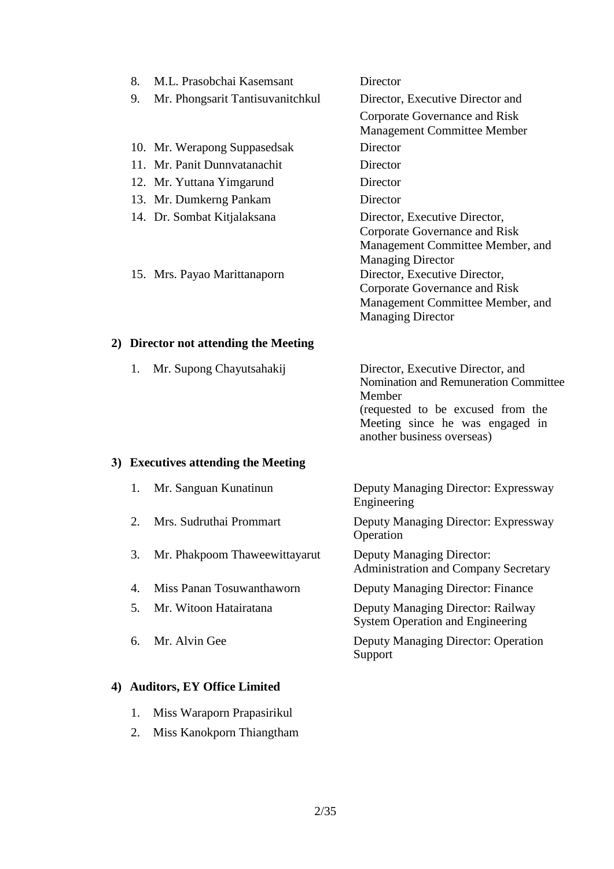| 9.<br>Director, Executive Director and<br>Mr. Phongsarit Tantisuvanitchkul<br>Corporate Governance and Risk<br><b>Management Committee Member</b><br>Director<br>10. Mr. Werapong Suppasedsak<br>11. Mr. Panit Dunnyatanachit<br>Director<br>Director<br>12. Mr. Yuttana Yimgarund<br>13. Mr. Dumkerng Pankam<br>Director<br>14. Dr. Sombat Kitjalaksana<br>Director, Executive Director,<br>Corporate Governance and Risk<br>Management Committee Member, and<br><b>Managing Director</b><br>15. Mrs. Payao Marittanaporn<br>Director, Executive Director,<br>Corporate Governance and Risk |
|----------------------------------------------------------------------------------------------------------------------------------------------------------------------------------------------------------------------------------------------------------------------------------------------------------------------------------------------------------------------------------------------------------------------------------------------------------------------------------------------------------------------------------------------------------------------------------------------|
|                                                                                                                                                                                                                                                                                                                                                                                                                                                                                                                                                                                              |
|                                                                                                                                                                                                                                                                                                                                                                                                                                                                                                                                                                                              |
|                                                                                                                                                                                                                                                                                                                                                                                                                                                                                                                                                                                              |
|                                                                                                                                                                                                                                                                                                                                                                                                                                                                                                                                                                                              |
|                                                                                                                                                                                                                                                                                                                                                                                                                                                                                                                                                                                              |
|                                                                                                                                                                                                                                                                                                                                                                                                                                                                                                                                                                                              |
| Management Committee Member, and<br><b>Managing Director</b>                                                                                                                                                                                                                                                                                                                                                                                                                                                                                                                                 |

# **2) Director not attending the Meeting**

|  | 1. Mr. Supong Chayutsahakij | Director, Executive Director, and                             |  |
|--|-----------------------------|---------------------------------------------------------------|--|
|  |                             | Nomination and Remuneration Committee                         |  |
|  |                             | Member                                                        |  |
|  |                             | (requested to be excused from the                             |  |
|  |                             | Meeting since he was engaged in<br>another business overseas) |  |
|  |                             |                                                               |  |

# **3) Executives attending the Meeting**

| 1.                          | Mr. Sanguan Kunatinun         | Deputy Managing Director: Expressway<br>Engineering                             |
|-----------------------------|-------------------------------|---------------------------------------------------------------------------------|
| $\mathcal{D}_{\mathcal{L}}$ | Mrs. Sudruthai Prommart       | Deputy Managing Director: Expressway<br>Operation                               |
| 3.                          | Mr. Phakpoom Thaweewittayarut | <b>Deputy Managing Director:</b><br><b>Administration and Company Secretary</b> |
| 4.                          | Miss Panan Tosuwanthaworn     | Deputy Managing Director: Finance                                               |
| 5.                          | Mr. Witoon Hatairatana        | Deputy Managing Director: Railway<br><b>System Operation and Engineering</b>    |
| 6.                          | Mr. Alvin Gee                 | Deputy Managing Director: Operation<br>Support                                  |

# **4) Auditors, EY Office Limited**

- 1. Miss Waraporn Prapasirikul
- 2. Miss Kanokporn Thiangtham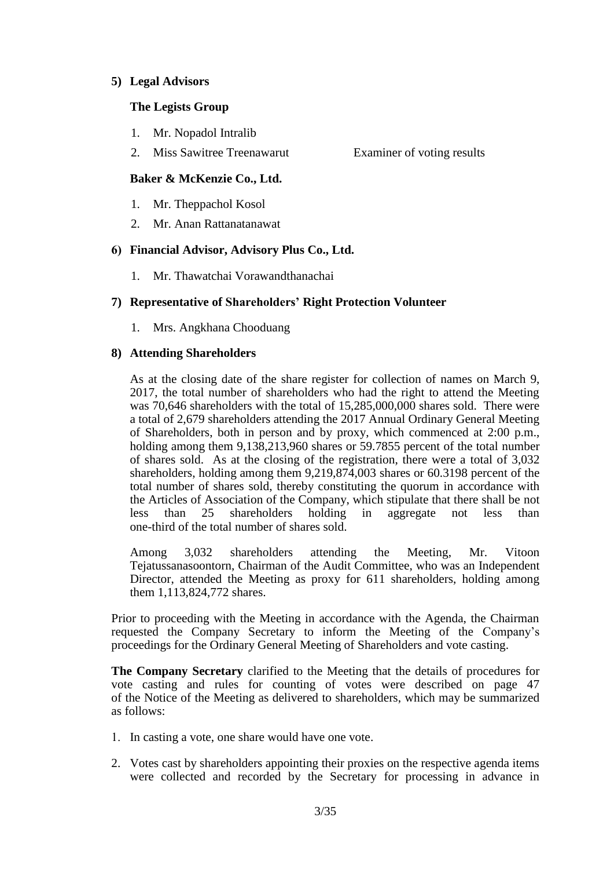#### **5) Legal Advisors**

## **The Legists Group**

- 1. Mr. Nopadol Intralib
- 2. Miss Sawitree Treenawarut Examiner of voting results

# **Baker & McKenzie Co., Ltd.**

- 1. Mr. Theppachol Kosol
- 2. Mr. Anan Rattanatanawat

## **6) Financial Advisor, Advisory Plus Co., Ltd.**

1. Mr. Thawatchai Vorawandthanachai

# **7) Representative of Shareholders' Right Protection Volunteer**

1. Mrs. Angkhana Chooduang

## **8) Attending Shareholders**

As at the closing date of the share register for collection of names on March 9, 2017, the total number of shareholders who had the right to attend the Meeting was 70,646 shareholders with the total of 15,285,000,000 shares sold. There were a total of 2,679 shareholders attending the 2017 Annual Ordinary General Meeting of Shareholders, both in person and by proxy, which commenced at 2:00 p.m., holding among them 9,138,213,960 shares or 59.7855 percent of the total number of shares sold. As at the closing of the registration, there were a total of 3,032 shareholders, holding among them 9,219,874,003 shares or 60.3198 percent of the total number of shares sold, thereby constituting the quorum in accordance with the Articles of Association of the Company, which stipulate that there shall be not less than 25 shareholders holding in aggregate not less than one-third of the total number of shares sold.

Among 3,032 shareholders attending the Meeting, Mr. Vitoon Tejatussanasoontorn, Chairman of the Audit Committee, who was an Independent Director, attended the Meeting as proxy for 611 shareholders, holding among them 1,113,824,772 shares.

Prior to proceeding with the Meeting in accordance with the Agenda, the Chairman requested the Company Secretary to inform the Meeting of the Company's proceedings for the Ordinary General Meeting of Shareholders and vote casting.

**The Company Secretary** clarified to the Meeting that the details of procedures for vote casting and rules for counting of votes were described on page 47 of the Notice of the Meeting as delivered to shareholders, which may be summarized as follows:

- 1. In casting a vote, one share would have one vote.
- 2. Votes cast by shareholders appointing their proxies on the respective agenda items were collected and recorded by the Secretary for processing in advance in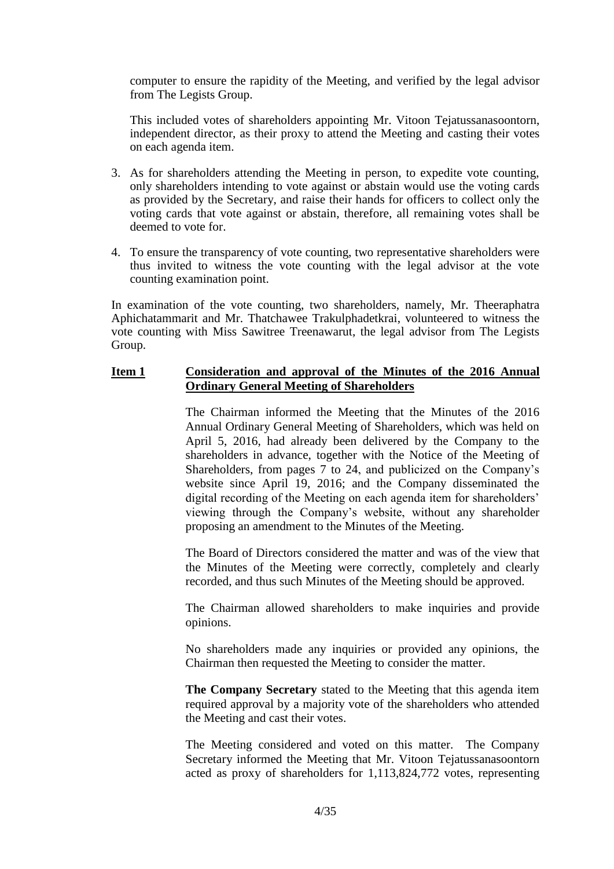computer to ensure the rapidity of the Meeting, and verified by the legal advisor from The Legists Group.

This included votes of shareholders appointing Mr. Vitoon Tejatussanasoontorn, independent director, as their proxy to attend the Meeting and casting their votes on each agenda item.

- 3. As for shareholders attending the Meeting in person, to expedite vote counting, only shareholders intending to vote against or abstain would use the voting cards as provided by the Secretary, and raise their hands for officers to collect only the voting cards that vote against or abstain, therefore, all remaining votes shall be deemed to vote for.
- 4. To ensure the transparency of vote counting, two representative shareholders were thus invited to witness the vote counting with the legal advisor at the vote counting examination point.

In examination of the vote counting, two shareholders, namely, Mr. Theeraphatra Aphichatammarit and Mr. Thatchawee Trakulphadetkrai, volunteered to witness the vote counting with Miss Sawitree Treenawarut, the legal advisor from The Legists Group.

#### **Item 1 Consideration and approval of the Minutes of the 2016 Annual Ordinary General Meeting of Shareholders**

The Chairman informed the Meeting that the Minutes of the 2016 Annual Ordinary General Meeting of Shareholders, which was held on April 5, 2016, had already been delivered by the Company to the shareholders in advance, together with the Notice of the Meeting of Shareholders, from pages 7 to 24, and publicized on the Company's website since April 19, 2016; and the Company disseminated the digital recording of the Meeting on each agenda item for shareholders' viewing through the Company's website, without any shareholder proposing an amendment to the Minutes of the Meeting.

The Board of Directors considered the matter and was of the view that the Minutes of the Meeting were correctly, completely and clearly recorded, and thus such Minutes of the Meeting should be approved.

The Chairman allowed shareholders to make inquiries and provide opinions.

No shareholders made any inquiries or provided any opinions, the Chairman then requested the Meeting to consider the matter.

**The Company Secretary** stated to the Meeting that this agenda item required approval by a majority vote of the shareholders who attended the Meeting and cast their votes.

The Meeting considered and voted on this matter. The Company Secretary informed the Meeting that Mr. Vitoon Tejatussanasoontorn acted as proxy of shareholders for 1,113,824,772 votes, representing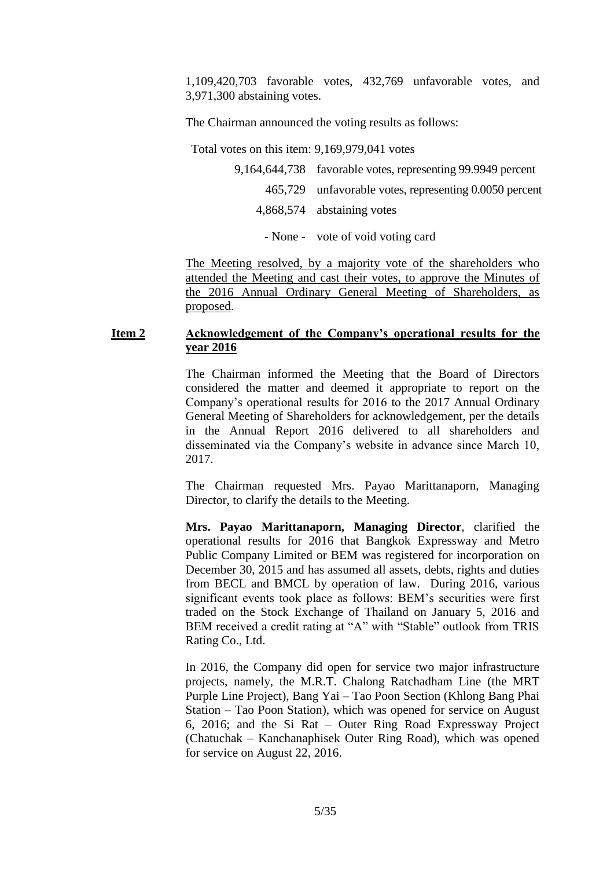1,109,420,703 favorable votes, 432,769 unfavorable votes, and 3,971,300 abstaining votes.

The Chairman announced the voting results as follows:

Total votes on this item: 9,169,979,041 votes

| 9,164,644,738 favorable votes, representing 99.9949 percent |
|-------------------------------------------------------------|
| 465,729 unfavorable votes, representing 0.0050 percent      |
| 4,868,574 abstaining votes                                  |
|                                                             |

- None - vote of void voting card

The Meeting resolved, by a majority vote of the shareholders who attended the Meeting and cast their votes, to approve the Minutes of the 2016 Annual Ordinary General Meeting of Shareholders, as proposed.

## **Item 2 Acknowledgement of the Company's operational results for the year 2016**

The Chairman informed the Meeting that the Board of Directors considered the matter and deemed it appropriate to report on the Company's operational results for 2016 to the 2017 Annual Ordinary General Meeting of Shareholders for acknowledgement, per the details in the Annual Report 2016 delivered to all shareholders and disseminated via the Company's website in advance since March 10, 2017.

The Chairman requested Mrs. Payao Marittanaporn, Managing Director, to clarify the details to the Meeting.

**Mrs. Payao Marittanaporn, Managing Director**, clarified the operational results for 2016 that Bangkok Expressway and Metro Public Company Limited or BEM was registered for incorporation on December 30, 2015 and has assumed all assets, debts, rights and duties from BECL and BMCL by operation of law. During 2016, various significant events took place as follows: BEM's securities were first traded on the Stock Exchange of Thailand on January 5, 2016 and BEM received a credit rating at "A" with "Stable" outlook from TRIS Rating Co., Ltd.

In 2016, the Company did open for service two major infrastructure projects, namely, the M.R.T. Chalong Ratchadham Line (the MRT Purple Line Project), Bang Yai – Tao Poon Section (Khlong Bang Phai Station – Tao Poon Station), which was opened for service on August 6, 2016; and the Si Rat – Outer Ring Road Expressway Project (Chatuchak – Kanchanaphisek Outer Ring Road), which was opened for service on August 22, 2016.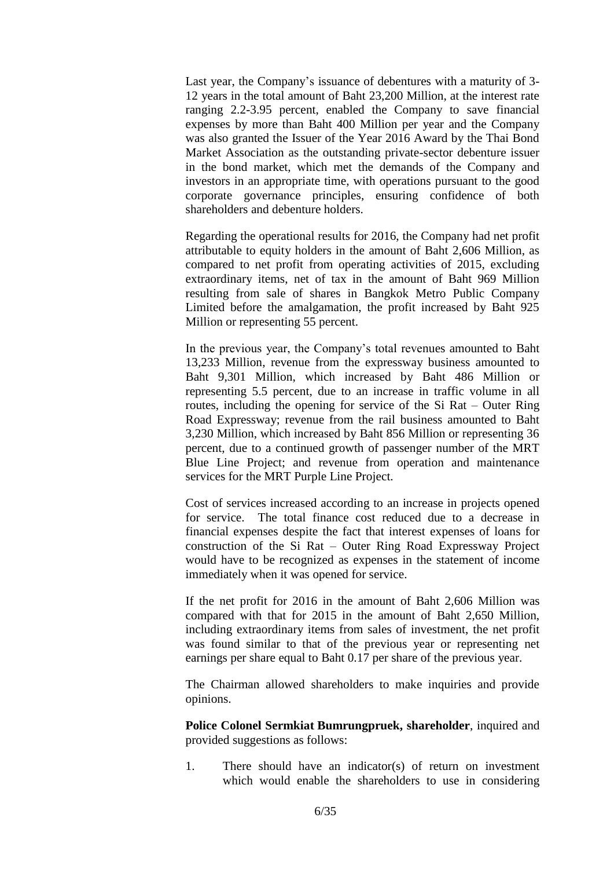Last year, the Company's issuance of debentures with a maturity of 3- 12 years in the total amount of Baht 23,200 Million, at the interest rate ranging 2.2-3.95 percent, enabled the Company to save financial expenses by more than Baht 400 Million per year and the Company was also granted the Issuer of the Year 2016 Award by the Thai Bond Market Association as the outstanding private-sector debenture issuer in the bond market, which met the demands of the Company and investors in an appropriate time, with operations pursuant to the good corporate governance principles, ensuring confidence of both shareholders and debenture holders.

Regarding the operational results for 2016, the Company had net profit attributable to equity holders in the amount of Baht 2,606 Million, as compared to net profit from operating activities of 2015, excluding extraordinary items, net of tax in the amount of Baht 969 Million resulting from sale of shares in Bangkok Metro Public Company Limited before the amalgamation, the profit increased by Baht 925 Million or representing 55 percent.

In the previous year, the Company's total revenues amounted to Baht 13,233 Million, revenue from the expressway business amounted to Baht 9,301 Million, which increased by Baht 486 Million or representing 5.5 percent, due to an increase in traffic volume in all routes, including the opening for service of the Si Rat – Outer Ring Road Expressway; revenue from the rail business amounted to Baht 3,230 Million, which increased by Baht 856 Million or representing 36 percent, due to a continued growth of passenger number of the MRT Blue Line Project; and revenue from operation and maintenance services for the MRT Purple Line Project.

Cost of services increased according to an increase in projects opened for service. The total finance cost reduced due to a decrease in financial expenses despite the fact that interest expenses of loans for construction of the Si Rat – Outer Ring Road Expressway Project would have to be recognized as expenses in the statement of income immediately when it was opened for service.

If the net profit for 2016 in the amount of Baht 2,606 Million was compared with that for 2015 in the amount of Baht 2,650 Million, including extraordinary items from sales of investment, the net profit was found similar to that of the previous year or representing net earnings per share equal to Baht 0.17 per share of the previous year.

The Chairman allowed shareholders to make inquiries and provide opinions.

**Police Colonel Sermkiat Bumrungpruek, shareholder**, inquired and provided suggestions as follows:

1. There should have an indicator(s) of return on investment which would enable the shareholders to use in considering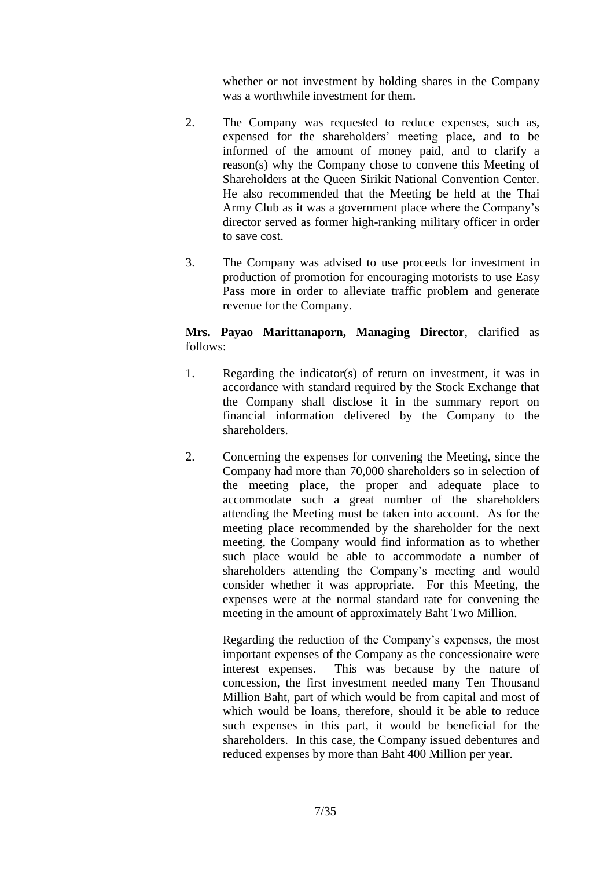whether or not investment by holding shares in the Company was a worthwhile investment for them.

- 2. The Company was requested to reduce expenses, such as, expensed for the shareholders' meeting place, and to be informed of the amount of money paid, and to clarify a reason(s) why the Company chose to convene this Meeting of Shareholders at the Queen Sirikit National Convention Center. He also recommended that the Meeting be held at the Thai Army Club as it was a government place where the Company's director served as former high-ranking military officer in order to save cost.
- 3. The Company was advised to use proceeds for investment in production of promotion for encouraging motorists to use Easy Pass more in order to alleviate traffic problem and generate revenue for the Company.

# **Mrs. Payao Marittanaporn, Managing Director**, clarified as follows:

- 1. Regarding the indicator(s) of return on investment, it was in accordance with standard required by the Stock Exchange that the Company shall disclose it in the summary report on financial information delivered by the Company to the shareholders.
- 2. Concerning the expenses for convening the Meeting, since the Company had more than 70,000 shareholders so in selection of the meeting place, the proper and adequate place to accommodate such a great number of the shareholders attending the Meeting must be taken into account. As for the meeting place recommended by the shareholder for the next meeting, the Company would find information as to whether such place would be able to accommodate a number of shareholders attending the Company's meeting and would consider whether it was appropriate. For this Meeting, the expenses were at the normal standard rate for convening the meeting in the amount of approximately Baht Two Million.

Regarding the reduction of the Company's expenses, the most important expenses of the Company as the concessionaire were interest expenses. This was because by the nature of concession, the first investment needed many Ten Thousand Million Baht, part of which would be from capital and most of which would be loans, therefore, should it be able to reduce such expenses in this part, it would be beneficial for the shareholders. In this case, the Company issued debentures and reduced expenses by more than Baht 400 Million per year.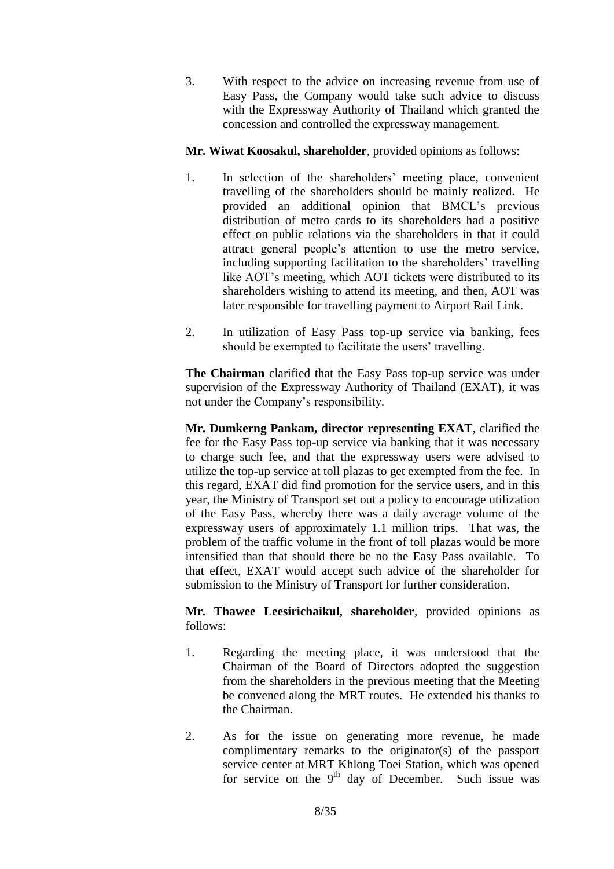3. With respect to the advice on increasing revenue from use of Easy Pass, the Company would take such advice to discuss with the Expressway Authority of Thailand which granted the concession and controlled the expressway management.

## **Mr. Wiwat Koosakul, shareholder**, provided opinions as follows:

- 1. In selection of the shareholders' meeting place, convenient travelling of the shareholders should be mainly realized. He provided an additional opinion that BMCL's previous distribution of metro cards to its shareholders had a positive effect on public relations via the shareholders in that it could attract general people's attention to use the metro service, including supporting facilitation to the shareholders' travelling like AOT's meeting, which AOT tickets were distributed to its shareholders wishing to attend its meeting, and then, AOT was later responsible for travelling payment to Airport Rail Link.
- 2. In utilization of Easy Pass top-up service via banking, fees should be exempted to facilitate the users' travelling.

**The Chairman** clarified that the Easy Pass top-up service was under supervision of the Expressway Authority of Thailand (EXAT), it was not under the Company's responsibility.

**Mr. Dumkerng Pankam, director representing EXAT**, clarified the fee for the Easy Pass top-up service via banking that it was necessary to charge such fee, and that the expressway users were advised to utilize the top-up service at toll plazas to get exempted from the fee. In this regard, EXAT did find promotion for the service users, and in this year, the Ministry of Transport set out a policy to encourage utilization of the Easy Pass, whereby there was a daily average volume of the expressway users of approximately 1.1 million trips. That was, the problem of the traffic volume in the front of toll plazas would be more intensified than that should there be no the Easy Pass available. To that effect, EXAT would accept such advice of the shareholder for submission to the Ministry of Transport for further consideration.

**Mr. Thawee Leesirichaikul, shareholder**, provided opinions as follows:

- 1. Regarding the meeting place, it was understood that the Chairman of the Board of Directors adopted the suggestion from the shareholders in the previous meeting that the Meeting be convened along the MRT routes. He extended his thanks to the Chairman.
- 2. As for the issue on generating more revenue, he made complimentary remarks to the originator(s) of the passport service center at MRT Khlong Toei Station, which was opened for service on the  $9<sup>th</sup>$  day of December. Such issue was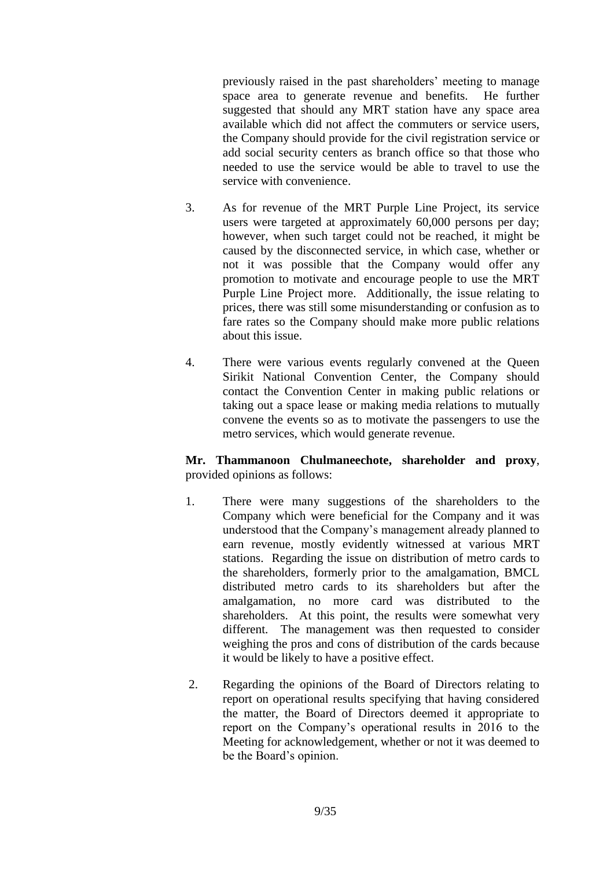previously raised in the past shareholders' meeting to manage space area to generate revenue and benefits. He further suggested that should any MRT station have any space area available which did not affect the commuters or service users, the Company should provide for the civil registration service or add social security centers as branch office so that those who needed to use the service would be able to travel to use the service with convenience.

- 3. As for revenue of the MRT Purple Line Project, its service users were targeted at approximately 60,000 persons per day; however, when such target could not be reached, it might be caused by the disconnected service, in which case, whether or not it was possible that the Company would offer any promotion to motivate and encourage people to use the MRT Purple Line Project more. Additionally, the issue relating to prices, there was still some misunderstanding or confusion as to fare rates so the Company should make more public relations about this issue.
- 4. There were various events regularly convened at the Queen Sirikit National Convention Center, the Company should contact the Convention Center in making public relations or taking out a space lease or making media relations to mutually convene the events so as to motivate the passengers to use the metro services, which would generate revenue.

**Mr. Thammanoon Chulmaneechote, shareholder and proxy**, provided opinions as follows:

- 1. There were many suggestions of the shareholders to the Company which were beneficial for the Company and it was understood that the Company's management already planned to earn revenue, mostly evidently witnessed at various MRT stations. Regarding the issue on distribution of metro cards to the shareholders, formerly prior to the amalgamation, BMCL distributed metro cards to its shareholders but after the amalgamation, no more card was distributed to the shareholders. At this point, the results were somewhat very different. The management was then requested to consider weighing the pros and cons of distribution of the cards because it would be likely to have a positive effect.
- 2. Regarding the opinions of the Board of Directors relating to report on operational results specifying that having considered the matter, the Board of Directors deemed it appropriate to report on the Company's operational results in 2016 to the Meeting for acknowledgement, whether or not it was deemed to be the Board's opinion.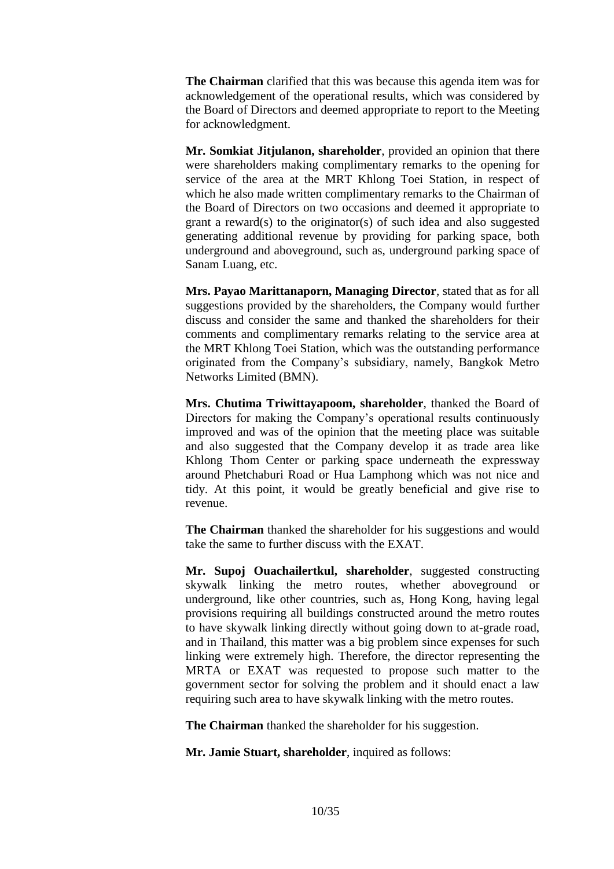**The Chairman** clarified that this was because this agenda item was for acknowledgement of the operational results, which was considered by the Board of Directors and deemed appropriate to report to the Meeting for acknowledgment.

**Mr. Somkiat Jitjulanon, shareholder**, provided an opinion that there were shareholders making complimentary remarks to the opening for service of the area at the MRT Khlong Toei Station, in respect of which he also made written complimentary remarks to the Chairman of the Board of Directors on two occasions and deemed it appropriate to grant a reward(s) to the originator(s) of such idea and also suggested generating additional revenue by providing for parking space, both underground and aboveground, such as, underground parking space of Sanam Luang, etc.

**Mrs. Payao Marittanaporn, Managing Director**, stated that as for all suggestions provided by the shareholders, the Company would further discuss and consider the same and thanked the shareholders for their comments and complimentary remarks relating to the service area at the MRT Khlong Toei Station, which was the outstanding performance originated from the Company's subsidiary, namely, Bangkok Metro Networks Limited (BMN).

**Mrs. Chutima Triwittayapoom, shareholder**, thanked the Board of Directors for making the Company's operational results continuously improved and was of the opinion that the meeting place was suitable and also suggested that the Company develop it as trade area like Khlong Thom Center or parking space underneath the expressway around Phetchaburi Road or Hua Lamphong which was not nice and tidy. At this point, it would be greatly beneficial and give rise to revenue.

**The Chairman** thanked the shareholder for his suggestions and would take the same to further discuss with the EXAT.

**Mr. Supoj Ouachailertkul, shareholder**, suggested constructing skywalk linking the metro routes, whether aboveground or underground, like other countries, such as, Hong Kong, having legal provisions requiring all buildings constructed around the metro routes to have skywalk linking directly without going down to at-grade road, and in Thailand, this matter was a big problem since expenses for such linking were extremely high. Therefore, the director representing the MRTA or EXAT was requested to propose such matter to the government sector for solving the problem and it should enact a law requiring such area to have skywalk linking with the metro routes.

**The Chairman** thanked the shareholder for his suggestion.

**Mr. Jamie Stuart, shareholder**, inquired as follows: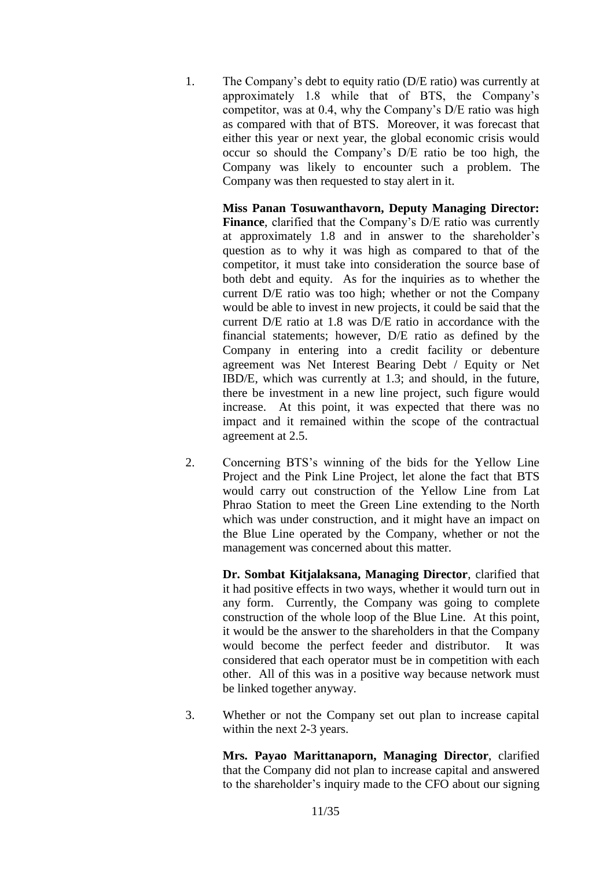1. The Company's debt to equity ratio (D/E ratio) was currently at approximately 1.8 while that of BTS, the Company's competitor, was at 0.4, why the Company's D/E ratio was high as compared with that of BTS. Moreover, it was forecast that either this year or next year, the global economic crisis would occur so should the Company's D/E ratio be too high, the Company was likely to encounter such a problem. The Company was then requested to stay alert in it.

> **Miss Panan Tosuwanthavorn, Deputy Managing Director: Finance**, clarified that the Company's D/E ratio was currently at approximately 1.8 and in answer to the shareholder's question as to why it was high as compared to that of the competitor, it must take into consideration the source base of both debt and equity. As for the inquiries as to whether the current D/E ratio was too high; whether or not the Company would be able to invest in new projects, it could be said that the current D/E ratio at 1.8 was D/E ratio in accordance with the financial statements; however, D/E ratio as defined by the Company in entering into a credit facility or debenture agreement was Net Interest Bearing Debt / Equity or Net IBD/E, which was currently at 1.3; and should, in the future, there be investment in a new line project, such figure would increase. At this point, it was expected that there was no impact and it remained within the scope of the contractual agreement at 2.5.

2. Concerning BTS's winning of the bids for the Yellow Line Project and the Pink Line Project, let alone the fact that BTS would carry out construction of the Yellow Line from Lat Phrao Station to meet the Green Line extending to the North which was under construction, and it might have an impact on the Blue Line operated by the Company, whether or not the management was concerned about this matter.

> **Dr. Sombat Kitjalaksana, Managing Director**, clarified that it had positive effects in two ways, whether it would turn out in any form. Currently, the Company was going to complete construction of the whole loop of the Blue Line. At this point, it would be the answer to the shareholders in that the Company would become the perfect feeder and distributor. It was considered that each operator must be in competition with each other. All of this was in a positive way because network must be linked together anyway.

3. Whether or not the Company set out plan to increase capital within the next 2-3 years.

> **Mrs. Payao Marittanaporn, Managing Director**, clarified that the Company did not plan to increase capital and answered to the shareholder's inquiry made to the CFO about our signing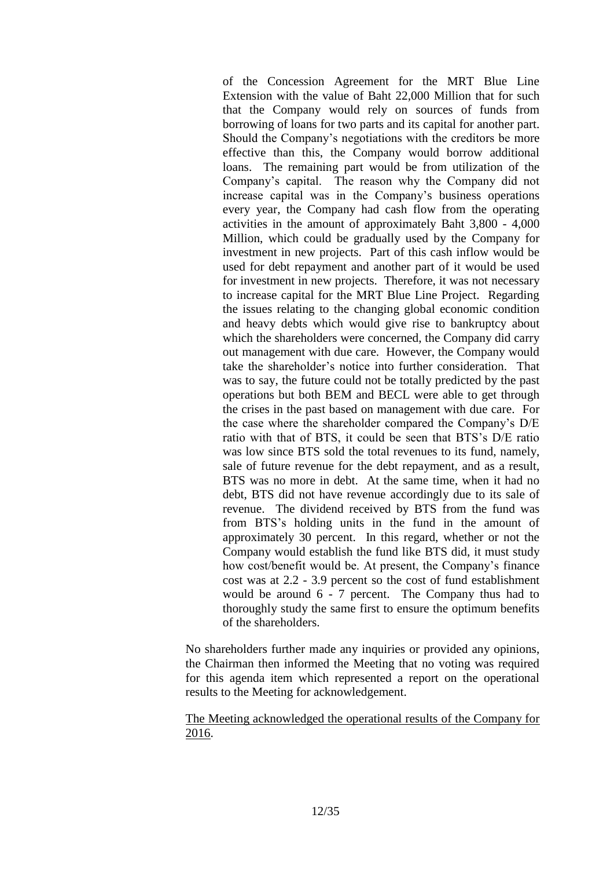of the Concession Agreement for the MRT Blue Line Extension with the value of Baht 22,000 Million that for such that the Company would rely on sources of funds from borrowing of loans for two parts and its capital for another part. Should the Company's negotiations with the creditors be more effective than this, the Company would borrow additional loans. The remaining part would be from utilization of the Company's capital. The reason why the Company did not increase capital was in the Company's business operations every year, the Company had cash flow from the operating activities in the amount of approximately Baht 3,800 - 4,000 Million, which could be gradually used by the Company for investment in new projects. Part of this cash inflow would be used for debt repayment and another part of it would be used for investment in new projects. Therefore, it was not necessary to increase capital for the MRT Blue Line Project. Regarding the issues relating to the changing global economic condition and heavy debts which would give rise to bankruptcy about which the shareholders were concerned, the Company did carry out management with due care. However, the Company would take the shareholder's notice into further consideration. That was to say, the future could not be totally predicted by the past operations but both BEM and BECL were able to get through the crises in the past based on management with due care. For the case where the shareholder compared the Company's D/E ratio with that of BTS, it could be seen that BTS's D/E ratio was low since BTS sold the total revenues to its fund, namely, sale of future revenue for the debt repayment, and as a result, BTS was no more in debt. At the same time, when it had no debt, BTS did not have revenue accordingly due to its sale of revenue. The dividend received by BTS from the fund was from BTS's holding units in the fund in the amount of approximately 30 percent. In this regard, whether or not the Company would establish the fund like BTS did, it must study how cost/benefit would be. At present, the Company's finance cost was at 2.2 - 3.9 percent so the cost of fund establishment would be around 6 - 7 percent. The Company thus had to thoroughly study the same first to ensure the optimum benefits of the shareholders.

No shareholders further made any inquiries or provided any opinions, the Chairman then informed the Meeting that no voting was required for this agenda item which represented a report on the operational results to the Meeting for acknowledgement.

The Meeting acknowledged the operational results of the Company for 2016.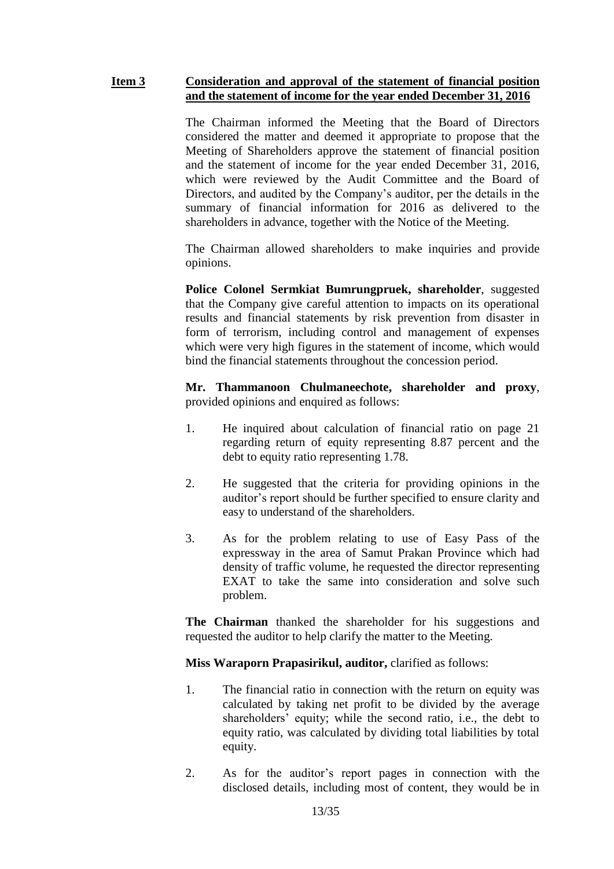#### **Item 3 Consideration and approval of the statement of financial position and the statement of income for the year ended December 31, 2016**

The Chairman informed the Meeting that the Board of Directors considered the matter and deemed it appropriate to propose that the Meeting of Shareholders approve the statement of financial position and the statement of income for the year ended December 31, 2016, which were reviewed by the Audit Committee and the Board of Directors, and audited by the Company's auditor, per the details in the summary of financial information for 2016 as delivered to the shareholders in advance, together with the Notice of the Meeting.

The Chairman allowed shareholders to make inquiries and provide opinions.

**Police Colonel Sermkiat Bumrungpruek, shareholder**, suggested that the Company give careful attention to impacts on its operational results and financial statements by risk prevention from disaster in form of terrorism, including control and management of expenses which were very high figures in the statement of income, which would bind the financial statements throughout the concession period.

**Mr. Thammanoon Chulmaneechote, shareholder and proxy**, provided opinions and enquired as follows:

- 1. He inquired about calculation of financial ratio on page 21 regarding return of equity representing 8.87 percent and the debt to equity ratio representing 1.78.
- 2. He suggested that the criteria for providing opinions in the auditor's report should be further specified to ensure clarity and easy to understand of the shareholders.
- 3. As for the problem relating to use of Easy Pass of the expressway in the area of Samut Prakan Province which had density of traffic volume, he requested the director representing EXAT to take the same into consideration and solve such problem.

**The Chairman** thanked the shareholder for his suggestions and requested the auditor to help clarify the matter to the Meeting.

**Miss Waraporn Prapasirikul, auditor,** clarified as follows:

- 1. The financial ratio in connection with the return on equity was calculated by taking net profit to be divided by the average shareholders' equity; while the second ratio, i.e., the debt to equity ratio, was calculated by dividing total liabilities by total equity.
- 2. As for the auditor's report pages in connection with the disclosed details, including most of content, they would be in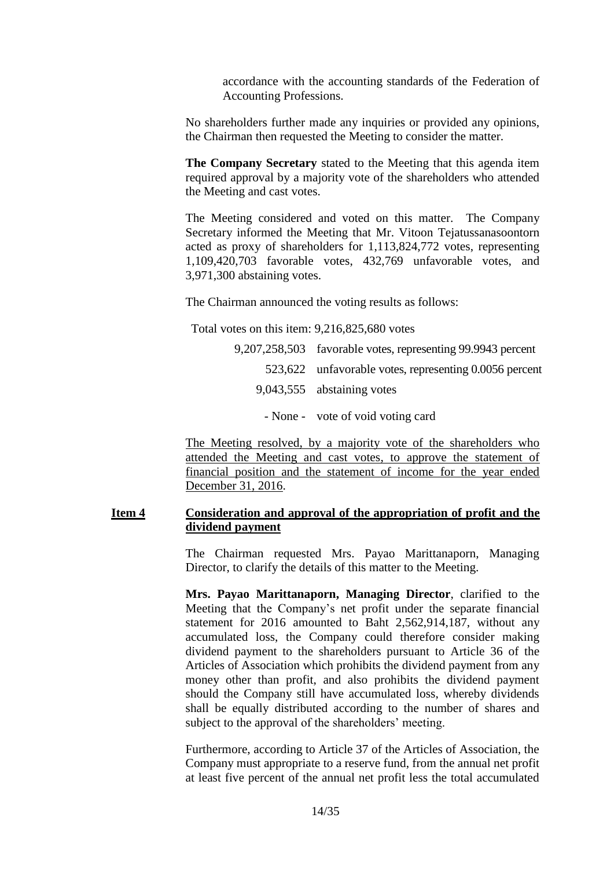accordance with the accounting standards of the Federation of Accounting Professions.

No shareholders further made any inquiries or provided any opinions, the Chairman then requested the Meeting to consider the matter.

**The Company Secretary** stated to the Meeting that this agenda item required approval by a majority vote of the shareholders who attended the Meeting and cast votes.

The Meeting considered and voted on this matter. The Company Secretary informed the Meeting that Mr. Vitoon Tejatussanasoontorn acted as proxy of shareholders for 1,113,824,772 votes, representing 1,109,420,703 favorable votes, 432,769 unfavorable votes, and 3,971,300 abstaining votes.

The Chairman announced the voting results as follows:

Total votes on this item: 9,216,825,680 votes

9,207,258,503 favorable votes, representing 99.9943 percent 523,622 unfavorable votes, representing 0.0056 percent 9,043,555 abstaining votes - None - vote of void voting card

The Meeting resolved, by a majority vote of the shareholders who attended the Meeting and cast votes, to approve the statement of financial position and the statement of income for the year ended December 31, 2016.

#### **Item 4 Consideration and approval of the appropriation of profit and the dividend payment**

The Chairman requested Mrs. Payao Marittanaporn, Managing Director, to clarify the details of this matter to the Meeting.

**Mrs. Payao Marittanaporn, Managing Director**, clarified to the Meeting that the Company's net profit under the separate financial statement for 2016 amounted to Baht 2,562,914,187, without any accumulated loss, the Company could therefore consider making dividend payment to the shareholders pursuant to Article 36 of the Articles of Association which prohibits the dividend payment from any money other than profit, and also prohibits the dividend payment should the Company still have accumulated loss, whereby dividends shall be equally distributed according to the number of shares and subject to the approval of the shareholders' meeting.

Furthermore, according to Article 37 of the Articles of Association, the Company must appropriate to a reserve fund, from the annual net profit at least five percent of the annual net profit less the total accumulated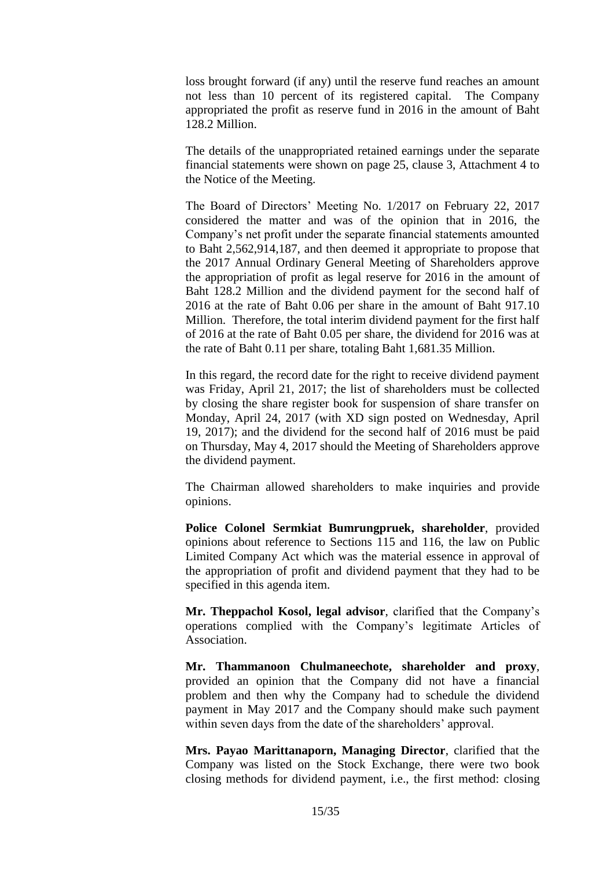loss brought forward (if any) until the reserve fund reaches an amount not less than 10 percent of its registered capital. The Company appropriated the profit as reserve fund in 2016 in the amount of Baht 128.2 Million.

The details of the unappropriated retained earnings under the separate financial statements were shown on page 25, clause 3, Attachment 4 to the Notice of the Meeting.

The Board of Directors' Meeting No. 1/2017 on February 22, 2017 considered the matter and was of the opinion that in 2016, the Company's net profit under the separate financial statements amounted to Baht 2,562,914,187, and then deemed it appropriate to propose that the 2017 Annual Ordinary General Meeting of Shareholders approve the appropriation of profit as legal reserve for 2016 in the amount of Baht 128.2 Million and the dividend payment for the second half of 2016 at the rate of Baht 0.06 per share in the amount of Baht 917.10 Million. Therefore, the total interim dividend payment for the first half of 2016 at the rate of Baht 0.05 per share, the dividend for 2016 was at the rate of Baht 0.11 per share, totaling Baht 1,681.35 Million.

In this regard, the record date for the right to receive dividend payment was Friday, April 21, 2017; the list of shareholders must be collected by closing the share register book for suspension of share transfer on Monday, April 24, 2017 (with XD sign posted on Wednesday, April 19, 2017); and the dividend for the second half of 2016 must be paid on Thursday, May 4, 2017 should the Meeting of Shareholders approve the dividend payment.

The Chairman allowed shareholders to make inquiries and provide opinions.

**Police Colonel Sermkiat Bumrungpruek, shareholder**, provided opinions about reference to Sections 115 and 116, the law on Public Limited Company Act which was the material essence in approval of the appropriation of profit and dividend payment that they had to be specified in this agenda item.

**Mr. Theppachol Kosol, legal advisor**, clarified that the Company's operations complied with the Company's legitimate Articles of Association.

**Mr. Thammanoon Chulmaneechote, shareholder and proxy**, provided an opinion that the Company did not have a financial problem and then why the Company had to schedule the dividend payment in May 2017 and the Company should make such payment within seven days from the date of the shareholders' approval.

**Mrs. Payao Marittanaporn, Managing Director**, clarified that the Company was listed on the Stock Exchange, there were two book closing methods for dividend payment, i.e., the first method: closing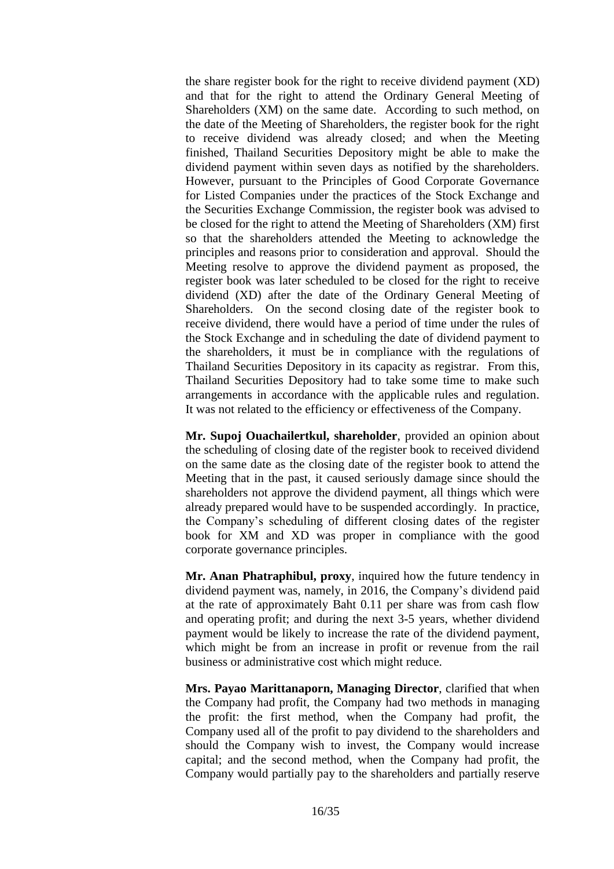the share register book for the right to receive dividend payment (XD) and that for the right to attend the Ordinary General Meeting of Shareholders (XM) on the same date. According to such method, on the date of the Meeting of Shareholders, the register book for the right to receive dividend was already closed; and when the Meeting finished, Thailand Securities Depository might be able to make the dividend payment within seven days as notified by the shareholders. However, pursuant to the Principles of Good Corporate Governance for Listed Companies under the practices of the Stock Exchange and the Securities Exchange Commission, the register book was advised to be closed for the right to attend the Meeting of Shareholders (XM) first so that the shareholders attended the Meeting to acknowledge the principles and reasons prior to consideration and approval. Should the Meeting resolve to approve the dividend payment as proposed, the register book was later scheduled to be closed for the right to receive dividend (XD) after the date of the Ordinary General Meeting of Shareholders. On the second closing date of the register book to receive dividend, there would have a period of time under the rules of the Stock Exchange and in scheduling the date of dividend payment to the shareholders, it must be in compliance with the regulations of Thailand Securities Depository in its capacity as registrar. From this, Thailand Securities Depository had to take some time to make such arrangements in accordance with the applicable rules and regulation. It was not related to the efficiency or effectiveness of the Company.

**Mr. Supoj Ouachailertkul, shareholder**, provided an opinion about the scheduling of closing date of the register book to received dividend on the same date as the closing date of the register book to attend the Meeting that in the past, it caused seriously damage since should the shareholders not approve the dividend payment, all things which were already prepared would have to be suspended accordingly. In practice, the Company's scheduling of different closing dates of the register book for XM and XD was proper in compliance with the good corporate governance principles.

**Mr. Anan Phatraphibul, proxy**, inquired how the future tendency in dividend payment was, namely, in 2016, the Company's dividend paid at the rate of approximately Baht 0.11 per share was from cash flow and operating profit; and during the next 3-5 years, whether dividend payment would be likely to increase the rate of the dividend payment, which might be from an increase in profit or revenue from the rail business or administrative cost which might reduce.

**Mrs. Payao Marittanaporn, Managing Director**, clarified that when the Company had profit, the Company had two methods in managing the profit: the first method, when the Company had profit, the Company used all of the profit to pay dividend to the shareholders and should the Company wish to invest, the Company would increase capital; and the second method, when the Company had profit, the Company would partially pay to the shareholders and partially reserve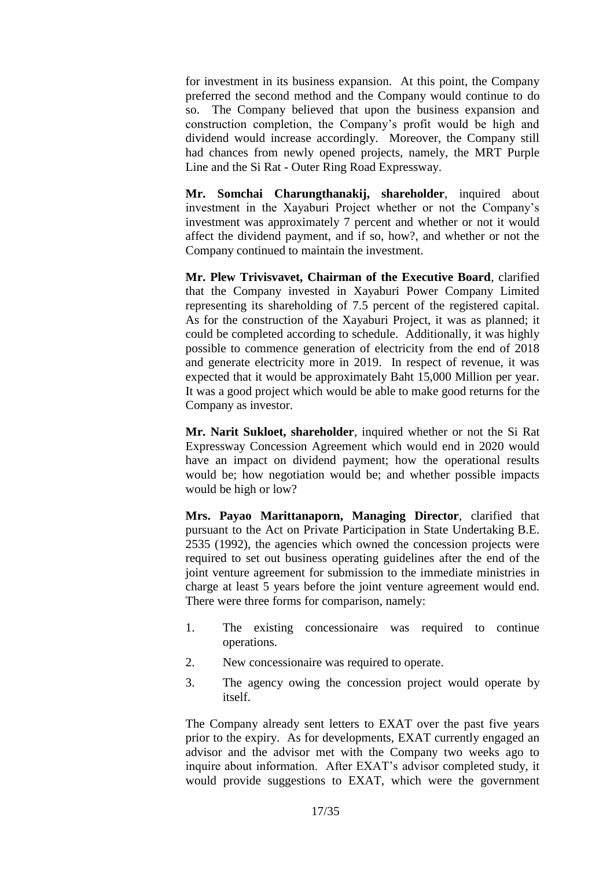for investment in its business expansion. At this point, the Company preferred the second method and the Company would continue to do so. The Company believed that upon the business expansion and construction completion, the Company's profit would be high and dividend would increase accordingly. Moreover, the Company still had chances from newly opened projects, namely, the MRT Purple Line and the Si Rat - Outer Ring Road Expressway.

**Mr. Somchai Charungthanakij, shareholder**, inquired about investment in the Xayaburi Project whether or not the Company's investment was approximately 7 percent and whether or not it would affect the dividend payment, and if so, how?, and whether or not the Company continued to maintain the investment.

**Mr. Plew Trivisvavet, Chairman of the Executive Board**, clarified that the Company invested in Xayaburi Power Company Limited representing its shareholding of 7.5 percent of the registered capital. As for the construction of the Xayaburi Project, it was as planned; it could be completed according to schedule. Additionally, it was highly possible to commence generation of electricity from the end of 2018 and generate electricity more in 2019. In respect of revenue, it was expected that it would be approximately Baht 15,000 Million per year. It was a good project which would be able to make good returns for the Company as investor.

**Mr. Narit Sukloet, shareholder**, inquired whether or not the Si Rat Expressway Concession Agreement which would end in 2020 would have an impact on dividend payment; how the operational results would be; how negotiation would be; and whether possible impacts would be high or low?

**Mrs. Payao Marittanaporn, Managing Director**, clarified that pursuant to the Act on Private Participation in State Undertaking B.E. 2535 (1992), the agencies which owned the concession projects were required to set out business operating guidelines after the end of the joint venture agreement for submission to the immediate ministries in charge at least 5 years before the joint venture agreement would end. There were three forms for comparison, namely:

- 1. The existing concessionaire was required to continue operations.
- 2. New concessionaire was required to operate.
- 3. The agency owing the concession project would operate by itself.

The Company already sent letters to EXAT over the past five years prior to the expiry. As for developments, EXAT currently engaged an advisor and the advisor met with the Company two weeks ago to inquire about information. After EXAT's advisor completed study, it would provide suggestions to EXAT, which were the government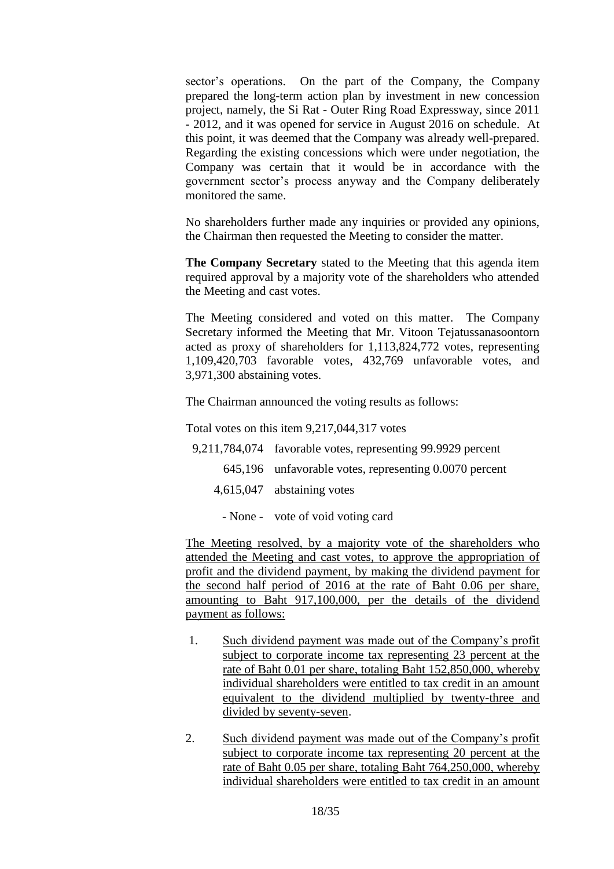sector's operations. On the part of the Company, the Company prepared the long-term action plan by investment in new concession project, namely, the Si Rat - Outer Ring Road Expressway, since 2011 - 2012, and it was opened for service in August 2016 on schedule. At this point, it was deemed that the Company was already well-prepared. Regarding the existing concessions which were under negotiation, the Company was certain that it would be in accordance with the government sector's process anyway and the Company deliberately monitored the same.

No shareholders further made any inquiries or provided any opinions, the Chairman then requested the Meeting to consider the matter.

**The Company Secretary** stated to the Meeting that this agenda item required approval by a majority vote of the shareholders who attended the Meeting and cast votes.

The Meeting considered and voted on this matter. The Company Secretary informed the Meeting that Mr. Vitoon Tejatussanasoontorn acted as proxy of shareholders for 1,113,824,772 votes, representing 1,109,420,703 favorable votes, 432,769 unfavorable votes, and 3,971,300 abstaining votes.

The Chairman announced the voting results as follows:

Total votes on this item 9,217,044,317 votes

9,211,784,074 favorable votes, representing 99.9929 percent

- 645,196 unfavorable votes, representing 0.0070 percent
- 4,615,047 abstaining votes
	- None vote of void voting card

The Meeting resolved, by a majority vote of the shareholders who attended the Meeting and cast votes, to approve the appropriation of profit and the dividend payment, by making the dividend payment for the second half period of 2016 at the rate of Baht 0.06 per share, amounting to Baht 917,100,000, per the details of the dividend payment as follows:

- 1. Such dividend payment was made out of the Company's profit subject to corporate income tax representing 23 percent at the rate of Baht 0.01 per share, totaling Baht 152,850,000, whereby individual shareholders were entitled to tax credit in an amount equivalent to the dividend multiplied by twenty-three and divided by seventy-seven.
- 2. Such dividend payment was made out of the Company's profit subject to corporate income tax representing 20 percent at the rate of Baht 0.05 per share, totaling Baht 764,250,000, whereby individual shareholders were entitled to tax credit in an amount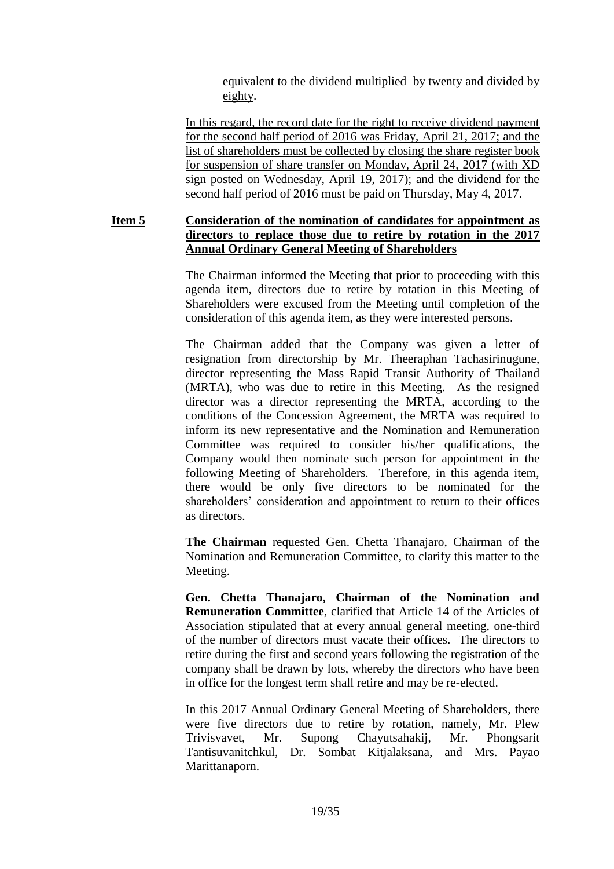equivalent to the dividend multiplied by twenty and divided by eighty.

In this regard, the record date for the right to receive dividend payment for the second half period of 2016 was Friday, April 21, 2017; and the list of shareholders must be collected by closing the share register book for suspension of share transfer on Monday, April 24, 2017 (with XD sign posted on Wednesday, April 19, 2017); and the dividend for the second half period of 2016 must be paid on Thursday, May 4, 2017.

# **Item 5 Consideration of the nomination of candidates for appointment as directors to replace those due to retire by rotation in the 2017 Annual Ordinary General Meeting of Shareholders**

The Chairman informed the Meeting that prior to proceeding with this agenda item, directors due to retire by rotation in this Meeting of Shareholders were excused from the Meeting until completion of the consideration of this agenda item, as they were interested persons.

The Chairman added that the Company was given a letter of resignation from directorship by Mr. Theeraphan Tachasirinugune, director representing the Mass Rapid Transit Authority of Thailand (MRTA), who was due to retire in this Meeting. As the resigned director was a director representing the MRTA, according to the conditions of the Concession Agreement, the MRTA was required to inform its new representative and the Nomination and Remuneration Committee was required to consider his/her qualifications, the Company would then nominate such person for appointment in the following Meeting of Shareholders. Therefore, in this agenda item, there would be only five directors to be nominated for the shareholders' consideration and appointment to return to their offices as directors.

**The Chairman** requested Gen. Chetta Thanajaro, Chairman of the Nomination and Remuneration Committee, to clarify this matter to the Meeting.

**Gen. Chetta Thanajaro, Chairman of the Nomination and Remuneration Committee**, clarified that Article 14 of the Articles of Association stipulated that at every annual general meeting, one-third of the number of directors must vacate their offices. The directors to retire during the first and second years following the registration of the company shall be drawn by lots, whereby the directors who have been in office for the longest term shall retire and may be re-elected.

In this 2017 Annual Ordinary General Meeting of Shareholders, there were five directors due to retire by rotation, namely, Mr. Plew Trivisvavet, Mr. Supong Chayutsahakij, Mr. Phongsarit Tantisuvanitchkul, Dr. Sombat Kitjalaksana, and Mrs. Payao Marittanaporn.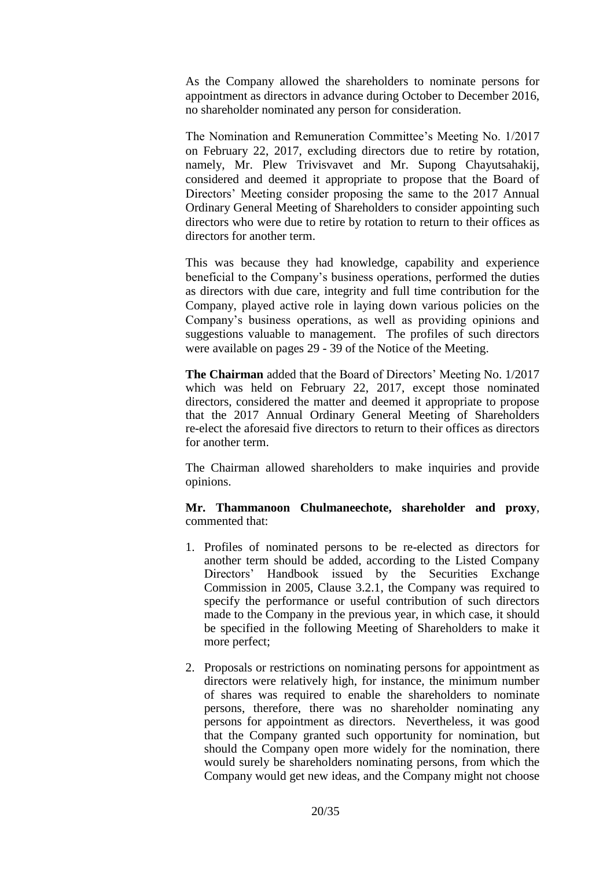As the Company allowed the shareholders to nominate persons for appointment as directors in advance during October to December 2016, no shareholder nominated any person for consideration.

The Nomination and Remuneration Committee's Meeting No. 1/2017 on February 22, 2017, excluding directors due to retire by rotation, namely, Mr. Plew Trivisvavet and Mr. Supong Chayutsahakij, considered and deemed it appropriate to propose that the Board of Directors' Meeting consider proposing the same to the 2017 Annual Ordinary General Meeting of Shareholders to consider appointing such directors who were due to retire by rotation to return to their offices as directors for another term.

This was because they had knowledge, capability and experience beneficial to the Company's business operations, performed the duties as directors with due care, integrity and full time contribution for the Company, played active role in laying down various policies on the Company's business operations, as well as providing opinions and suggestions valuable to management. The profiles of such directors were available on pages 29 - 39 of the Notice of the Meeting.

**The Chairman** added that the Board of Directors' Meeting No. 1/2017 which was held on February 22, 2017, except those nominated directors, considered the matter and deemed it appropriate to propose that the 2017 Annual Ordinary General Meeting of Shareholders re-elect the aforesaid five directors to return to their offices as directors for another term.

The Chairman allowed shareholders to make inquiries and provide opinions.

#### **Mr. Thammanoon Chulmaneechote, shareholder and proxy**, commented that:

- 1. Profiles of nominated persons to be re-elected as directors for another term should be added, according to the Listed Company Directors' Handbook issued by the Securities Exchange Commission in 2005, Clause 3.2.1, the Company was required to specify the performance or useful contribution of such directors made to the Company in the previous year, in which case, it should be specified in the following Meeting of Shareholders to make it more perfect;
- 2. Proposals or restrictions on nominating persons for appointment as directors were relatively high, for instance, the minimum number of shares was required to enable the shareholders to nominate persons, therefore, there was no shareholder nominating any persons for appointment as directors. Nevertheless, it was good that the Company granted such opportunity for nomination, but should the Company open more widely for the nomination, there would surely be shareholders nominating persons, from which the Company would get new ideas, and the Company might not choose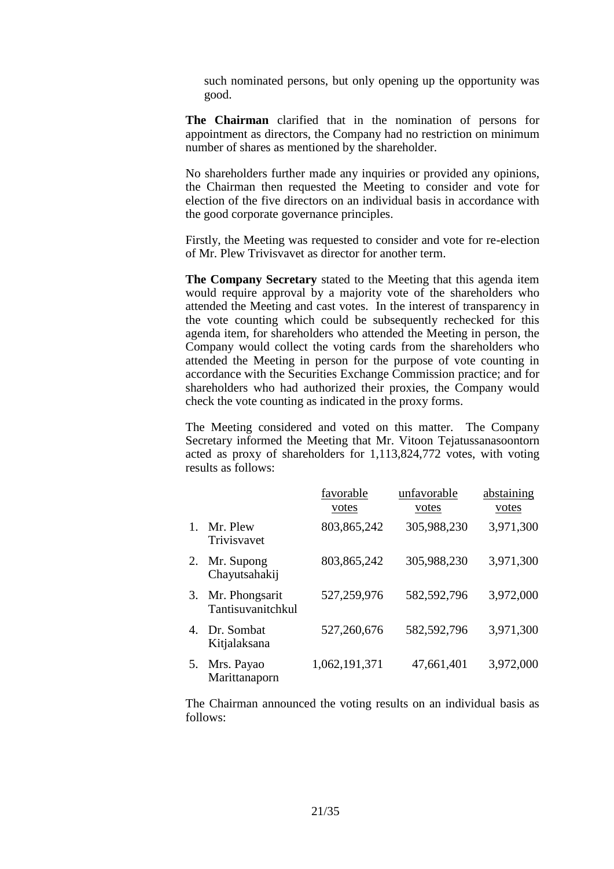such nominated persons, but only opening up the opportunity was good.

**The Chairman** clarified that in the nomination of persons for appointment as directors, the Company had no restriction on minimum number of shares as mentioned by the shareholder.

No shareholders further made any inquiries or provided any opinions, the Chairman then requested the Meeting to consider and vote for election of the five directors on an individual basis in accordance with the good corporate governance principles.

Firstly, the Meeting was requested to consider and vote for re-election of Mr. Plew Trivisvavet as director for another term.

**The Company Secretary** stated to the Meeting that this agenda item would require approval by a majority vote of the shareholders who attended the Meeting and cast votes. In the interest of transparency in the vote counting which could be subsequently rechecked for this agenda item, for shareholders who attended the Meeting in person, the Company would collect the voting cards from the shareholders who attended the Meeting in person for the purpose of vote counting in accordance with the Securities Exchange Commission practice; and for shareholders who had authorized their proxies, the Company would check the vote counting as indicated in the proxy forms.

The Meeting considered and voted on this matter. The Company Secretary informed the Meeting that Mr. Vitoon Tejatussanasoontorn acted as proxy of shareholders for 1,113,824,772 votes, with voting results as follows:

|    |                                     | favorable<br>votes | unfavorable<br>votes | abstaining<br>votes |
|----|-------------------------------------|--------------------|----------------------|---------------------|
|    | Mr. Plew<br>Trivisvavet             | 803, 865, 242      | 305,988,230          | 3,971,300           |
| 2. | Mr. Supong<br>Chayutsahakij         | 803, 865, 242      | 305,988,230          | 3,971,300           |
| 3. | Mr. Phongsarit<br>Tantisuvanitchkul | 527,259,976        | 582,592,796          | 3,972,000           |
|    | 4. Dr. Sombat<br>Kitjalaksana       | 527,260,676        | 582,592,796          | 3,971,300           |
| 5. | Mrs. Payao<br>Marittanaporn         | 1,062,191,371      | 47,661,401           | 3,972,000           |

The Chairman announced the voting results on an individual basis as follows: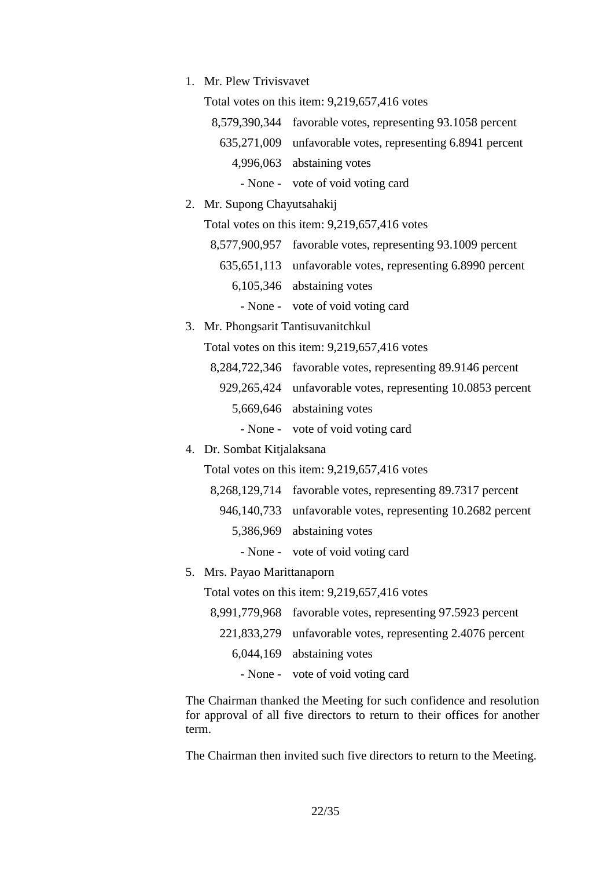1. Mr. Plew Trivisvavet

Total votes on this item: 9,219,657,416 votes

8,579,390,344 favorable votes, representing 93.1058 percent

- 635,271,009 unfavorable votes, representing 6.8941 percent
	- 4,996,063 abstaining votes
		- None vote of void voting card
- 2. Mr. Supong Chayutsahakij

Total votes on this item: 9,219,657,416 votes

- 8,577,900,957 favorable votes, representing 93.1009 percent 635,651,113 unfavorable votes, representing 6.8990 percent 6,105,346 abstaining votes
	- None vote of void voting card
- 3. Mr. Phongsarit Tantisuvanitchkul

Total votes on this item: 9,219,657,416 votes

- 8,284,722,346 favorable votes, representing 89.9146 percent
	- 929,265,424 unfavorable votes, representing 10.0853 percent
		- 5,669,646 abstaining votes
			- None vote of void voting card

#### 4. Dr. Sombat Kitjalaksana

Total votes on this item: 9,219,657,416 votes

- 8,268,129,714 favorable votes, representing 89.7317 percent
- 946,140,733 unfavorable votes, representing 10.2682 percent
	- 5,386,969 abstaining votes
		- None vote of void voting card
- 5. Mrs. Payao Marittanaporn

Total votes on this item: 9,219,657,416 votes

8,991,779,968 favorable votes, representing 97.5923 percent 221,833,279 unfavorable votes, representing 2.4076 percent 6,044,169 abstaining votes - None - vote of void voting card

The Chairman thanked the Meeting for such confidence and resolution for approval of all five directors to return to their offices for another term.

The Chairman then invited such five directors to return to the Meeting.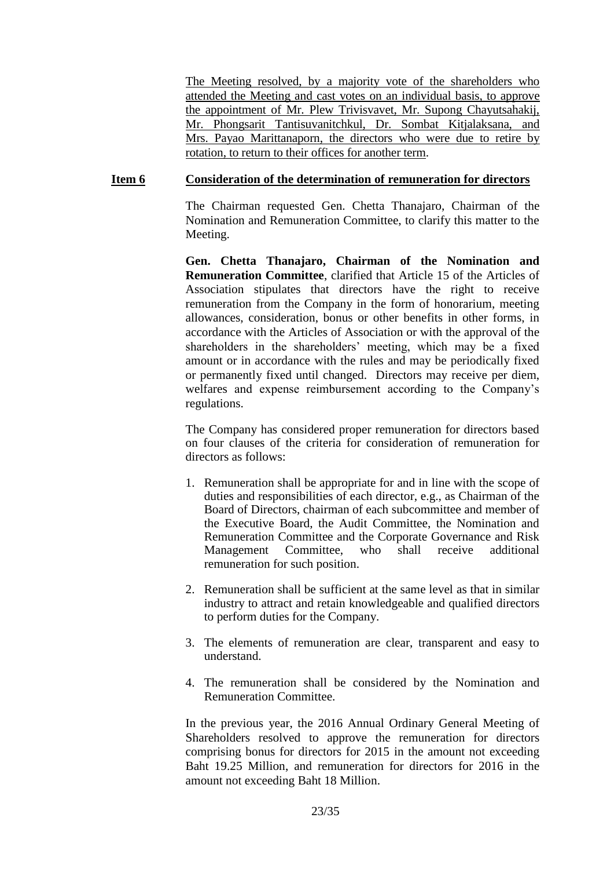The Meeting resolved, by a majority vote of the shareholders who attended the Meeting and cast votes on an individual basis, to approve the appointment of Mr. Plew Trivisvavet, Mr. Supong Chayutsahakij, Mr. Phongsarit Tantisuvanitchkul, Dr. Sombat Kitjalaksana, and Mrs. Payao Marittanaporn, the directors who were due to retire by rotation, to return to their offices for another term.

#### **Item 6 Consideration of the determination of remuneration for directors**

The Chairman requested Gen. Chetta Thanajaro, Chairman of the Nomination and Remuneration Committee, to clarify this matter to the Meeting.

**Gen. Chetta Thanajaro, Chairman of the Nomination and Remuneration Committee**, clarified that Article 15 of the Articles of Association stipulates that directors have the right to receive remuneration from the Company in the form of honorarium, meeting allowances, consideration, bonus or other benefits in other forms, in accordance with the Articles of Association or with the approval of the shareholders in the shareholders' meeting, which may be a fixed amount or in accordance with the rules and may be periodically fixed or permanently fixed until changed. Directors may receive per diem, welfares and expense reimbursement according to the Company's regulations.

The Company has considered proper remuneration for directors based on four clauses of the criteria for consideration of remuneration for directors as follows:

- 1. Remuneration shall be appropriate for and in line with the scope of duties and responsibilities of each director, e.g., as Chairman of the Board of Directors, chairman of each subcommittee and member of the Executive Board, the Audit Committee, the Nomination and Remuneration Committee and the Corporate Governance and Risk Management Committee, who shall receive additional remuneration for such position.
- 2. Remuneration shall be sufficient at the same level as that in similar industry to attract and retain knowledgeable and qualified directors to perform duties for the Company.
- 3. The elements of remuneration are clear, transparent and easy to understand.
- 4. The remuneration shall be considered by the Nomination and Remuneration Committee.

In the previous year, the 2016 Annual Ordinary General Meeting of Shareholders resolved to approve the remuneration for directors comprising bonus for directors for 2015 in the amount not exceeding Baht 19.25 Million, and remuneration for directors for 2016 in the amount not exceeding Baht 18 Million.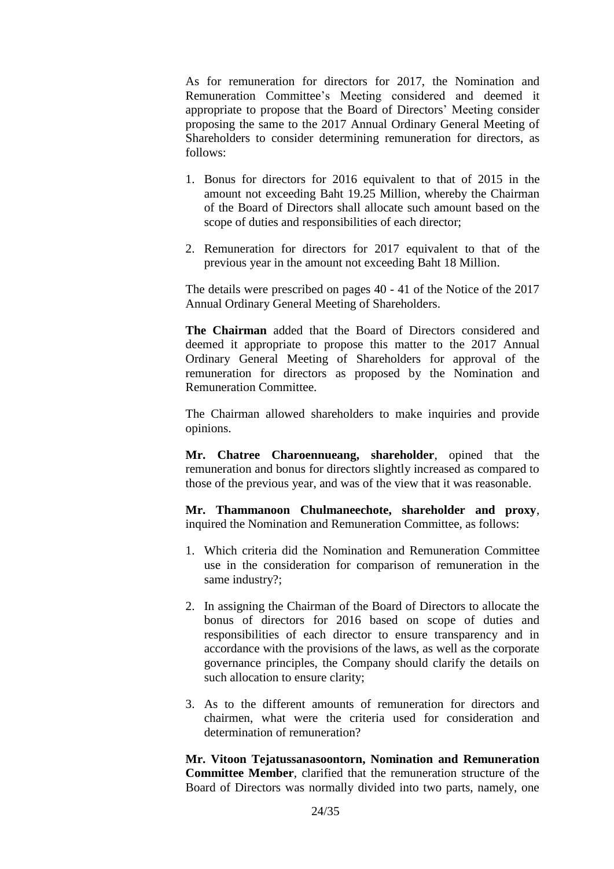As for remuneration for directors for 2017, the Nomination and Remuneration Committee's Meeting considered and deemed it appropriate to propose that the Board of Directors' Meeting consider proposing the same to the 2017 Annual Ordinary General Meeting of Shareholders to consider determining remuneration for directors, as follows:

- 1. Bonus for directors for 2016 equivalent to that of 2015 in the amount not exceeding Baht 19.25 Million, whereby the Chairman of the Board of Directors shall allocate such amount based on the scope of duties and responsibilities of each director;
- 2. Remuneration for directors for 2017 equivalent to that of the previous year in the amount not exceeding Baht 18 Million.

The details were prescribed on pages 40 - 41 of the Notice of the 2017 Annual Ordinary General Meeting of Shareholders.

**The Chairman** added that the Board of Directors considered and deemed it appropriate to propose this matter to the 2017 Annual Ordinary General Meeting of Shareholders for approval of the remuneration for directors as proposed by the Nomination and Remuneration Committee.

The Chairman allowed shareholders to make inquiries and provide opinions.

**Mr. Chatree Charoennueang, shareholder**, opined that the remuneration and bonus for directors slightly increased as compared to those of the previous year, and was of the view that it was reasonable.

**Mr. Thammanoon Chulmaneechote, shareholder and proxy**, inquired the Nomination and Remuneration Committee, as follows:

- 1. Which criteria did the Nomination and Remuneration Committee use in the consideration for comparison of remuneration in the same industry?;
- 2. In assigning the Chairman of the Board of Directors to allocate the bonus of directors for 2016 based on scope of duties and responsibilities of each director to ensure transparency and in accordance with the provisions of the laws, as well as the corporate governance principles, the Company should clarify the details on such allocation to ensure clarity;
- 3. As to the different amounts of remuneration for directors and chairmen, what were the criteria used for consideration and determination of remuneration?

**Mr. Vitoon Tejatussanasoontorn, Nomination and Remuneration Committee Member**, clarified that the remuneration structure of the Board of Directors was normally divided into two parts, namely, one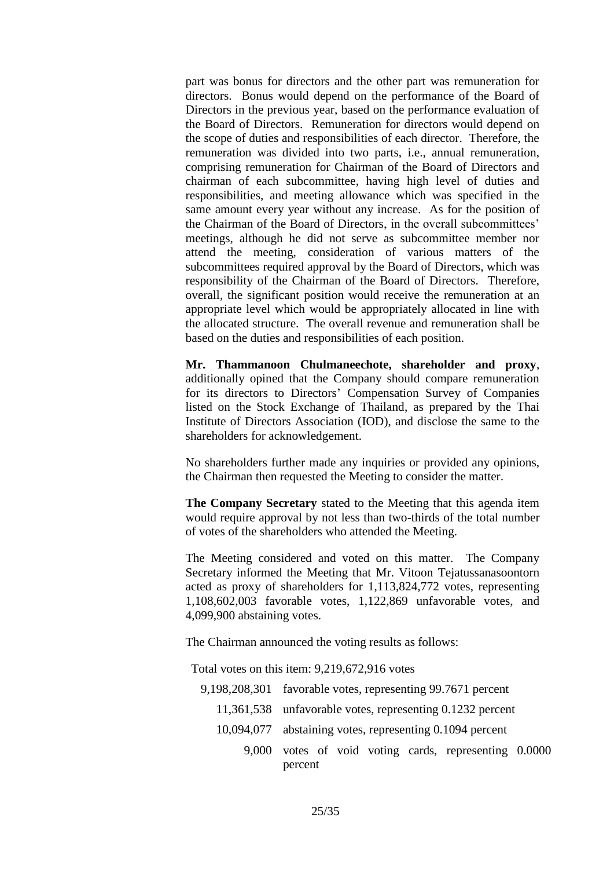part was bonus for directors and the other part was remuneration for directors. Bonus would depend on the performance of the Board of Directors in the previous year, based on the performance evaluation of the Board of Directors. Remuneration for directors would depend on the scope of duties and responsibilities of each director. Therefore, the remuneration was divided into two parts, i.e., annual remuneration, comprising remuneration for Chairman of the Board of Directors and chairman of each subcommittee, having high level of duties and responsibilities, and meeting allowance which was specified in the same amount every year without any increase. As for the position of the Chairman of the Board of Directors, in the overall subcommittees' meetings, although he did not serve as subcommittee member nor attend the meeting, consideration of various matters of the subcommittees required approval by the Board of Directors, which was responsibility of the Chairman of the Board of Directors. Therefore, overall, the significant position would receive the remuneration at an appropriate level which would be appropriately allocated in line with the allocated structure. The overall revenue and remuneration shall be based on the duties and responsibilities of each position.

**Mr. Thammanoon Chulmaneechote, shareholder and proxy**, additionally opined that the Company should compare remuneration for its directors to Directors' Compensation Survey of Companies listed on the Stock Exchange of Thailand, as prepared by the Thai Institute of Directors Association (IOD), and disclose the same to the shareholders for acknowledgement.

No shareholders further made any inquiries or provided any opinions, the Chairman then requested the Meeting to consider the matter.

**The Company Secretary** stated to the Meeting that this agenda item would require approval by not less than two-thirds of the total number of votes of the shareholders who attended the Meeting.

The Meeting considered and voted on this matter. The Company Secretary informed the Meeting that Mr. Vitoon Tejatussanasoontorn acted as proxy of shareholders for 1,113,824,772 votes, representing 1,108,602,003 favorable votes, 1,122,869 unfavorable votes, and 4,099,900 abstaining votes.

The Chairman announced the voting results as follows:

Total votes on this item: 9,219,672,916 votes

- 9,198,208,301 favorable votes, representing 99.7671 percent
	- 11,361,538 unfavorable votes, representing 0.1232 percent
	- 10,094,077 abstaining votes, representing 0.1094 percent
		- 9,000 votes of void voting cards, representing 0.0000 percent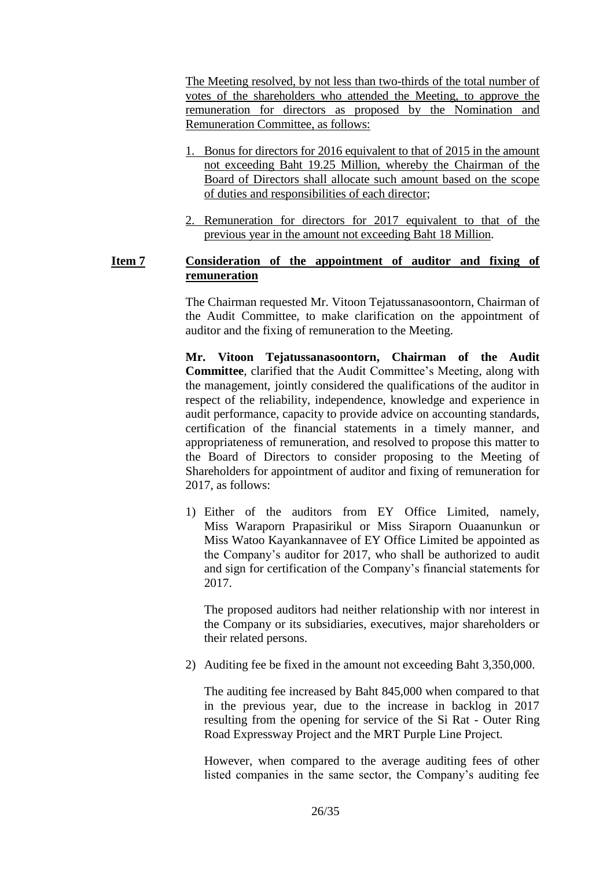The Meeting resolved, by not less than two-thirds of the total number of votes of the shareholders who attended the Meeting, to approve the remuneration for directors as proposed by the Nomination and Remuneration Committee, as follows:

- 1. Bonus for directors for 2016 equivalent to that of 2015 in the amount not exceeding Baht 19.25 Million, whereby the Chairman of the Board of Directors shall allocate such amount based on the scope of duties and responsibilities of each director;
- 2. Remuneration for directors for 2017 equivalent to that of the previous year in the amount not exceeding Baht 18 Million.

#### **Item 7 Consideration of the appointment of auditor and fixing of remuneration**

The Chairman requested Mr. Vitoon Tejatussanasoontorn, Chairman of the Audit Committee, to make clarification on the appointment of auditor and the fixing of remuneration to the Meeting.

**Mr. Vitoon Tejatussanasoontorn, Chairman of the Audit Committee**, clarified that the Audit Committee's Meeting, along with the management, jointly considered the qualifications of the auditor in respect of the reliability, independence, knowledge and experience in audit performance, capacity to provide advice on accounting standards, certification of the financial statements in a timely manner, and appropriateness of remuneration, and resolved to propose this matter to the Board of Directors to consider proposing to the Meeting of Shareholders for appointment of auditor and fixing of remuneration for 2017, as follows:

1) Either of the auditors from EY Office Limited, namely, Miss Waraporn Prapasirikul or Miss Siraporn Ouaanunkun or Miss Watoo Kayankannavee of EY Office Limited be appointed as the Company's auditor for 2017, who shall be authorized to audit and sign for certification of the Company's financial statements for 2017.

The proposed auditors had neither relationship with nor interest in the Company or its subsidiaries, executives, major shareholders or their related persons.

2) Auditing fee be fixed in the amount not exceeding Baht 3,350,000.

The auditing fee increased by Baht 845,000 when compared to that in the previous year, due to the increase in backlog in 2017 resulting from the opening for service of the Si Rat - Outer Ring Road Expressway Project and the MRT Purple Line Project.

However, when compared to the average auditing fees of other listed companies in the same sector, the Company's auditing fee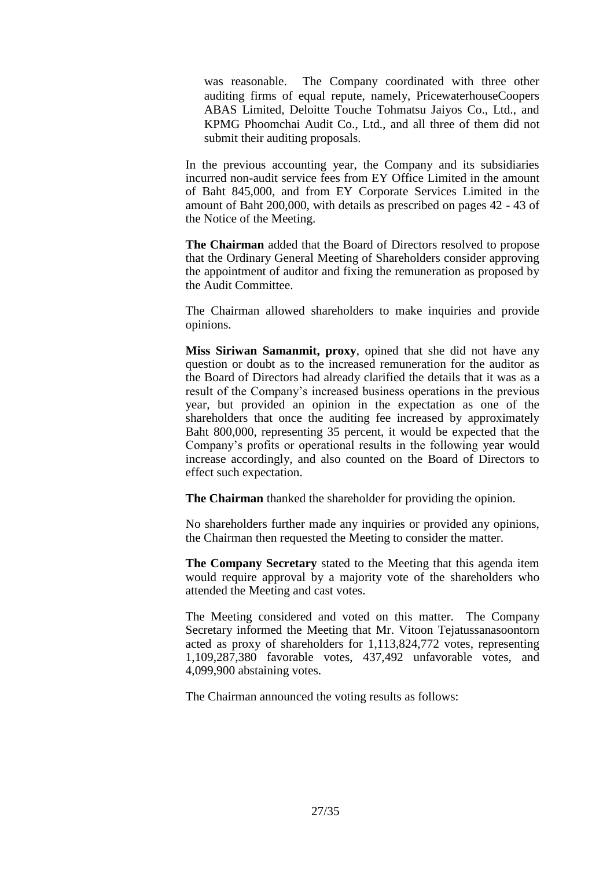was reasonable. The Company coordinated with three other auditing firms of equal repute, namely, PricewaterhouseCoopers ABAS Limited, Deloitte Touche Tohmatsu Jaiyos Co., Ltd., and KPMG Phoomchai Audit Co., Ltd., and all three of them did not submit their auditing proposals.

In the previous accounting year, the Company and its subsidiaries incurred non-audit service fees from EY Office Limited in the amount of Baht 845,000, and from EY Corporate Services Limited in the amount of Baht 200,000, with details as prescribed on pages 42 - 43 of the Notice of the Meeting.

**The Chairman** added that the Board of Directors resolved to propose that the Ordinary General Meeting of Shareholders consider approving the appointment of auditor and fixing the remuneration as proposed by the Audit Committee.

The Chairman allowed shareholders to make inquiries and provide opinions.

**Miss Siriwan Samanmit, proxy**, opined that she did not have any question or doubt as to the increased remuneration for the auditor as the Board of Directors had already clarified the details that it was as a result of the Company's increased business operations in the previous year, but provided an opinion in the expectation as one of the shareholders that once the auditing fee increased by approximately Baht 800,000, representing 35 percent, it would be expected that the Company's profits or operational results in the following year would increase accordingly, and also counted on the Board of Directors to effect such expectation.

**The Chairman** thanked the shareholder for providing the opinion.

No shareholders further made any inquiries or provided any opinions, the Chairman then requested the Meeting to consider the matter.

**The Company Secretary** stated to the Meeting that this agenda item would require approval by a majority vote of the shareholders who attended the Meeting and cast votes.

The Meeting considered and voted on this matter. The Company Secretary informed the Meeting that Mr. Vitoon Tejatussanasoontorn acted as proxy of shareholders for 1,113,824,772 votes, representing 1,109,287,380 favorable votes, 437,492 unfavorable votes, and 4,099,900 abstaining votes.

The Chairman announced the voting results as follows: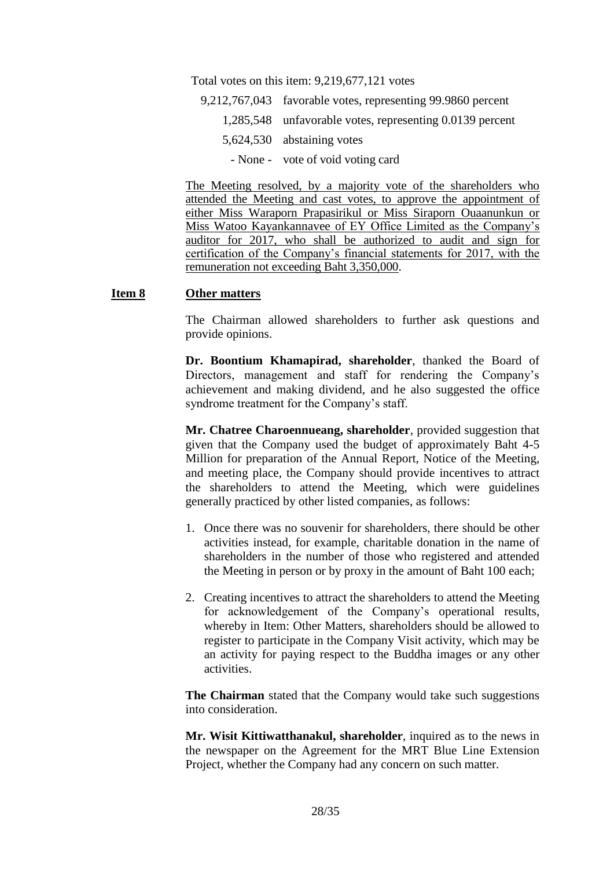Total votes on this item: 9,219,677,121 votes

- 9,212,767,043 favorable votes, representing 99.9860 percent
	- 1,285,548 unfavorable votes, representing 0.0139 percent
		- 5,624,530 abstaining votes
			- None vote of void voting card

The Meeting resolved, by a majority vote of the shareholders who attended the Meeting and cast votes, to approve the appointment of either Miss Waraporn Prapasirikul or Miss Siraporn Ouaanunkun or Miss Watoo Kayankannavee of EY Office Limited as the Company's auditor for 2017, who shall be authorized to audit and sign for certification of the Company's financial statements for 2017, with the remuneration not exceeding Baht 3,350,000.

#### **Item 8 Other matters**

The Chairman allowed shareholders to further ask questions and provide opinions.

**Dr. Boontium Khamapirad, shareholder**, thanked the Board of Directors, management and staff for rendering the Company's achievement and making dividend, and he also suggested the office syndrome treatment for the Company's staff.

**Mr. Chatree Charoennueang, shareholder**, provided suggestion that given that the Company used the budget of approximately Baht 4-5 Million for preparation of the Annual Report, Notice of the Meeting, and meeting place, the Company should provide incentives to attract the shareholders to attend the Meeting, which were guidelines generally practiced by other listed companies, as follows:

- 1. Once there was no souvenir for shareholders, there should be other activities instead, for example, charitable donation in the name of shareholders in the number of those who registered and attended the Meeting in person or by proxy in the amount of Baht 100 each;
- 2. Creating incentives to attract the shareholders to attend the Meeting for acknowledgement of the Company's operational results, whereby in Item: Other Matters, shareholders should be allowed to register to participate in the Company Visit activity, which may be an activity for paying respect to the Buddha images or any other activities.

**The Chairman** stated that the Company would take such suggestions into consideration.

**Mr. Wisit Kittiwatthanakul, shareholder**, inquired as to the news in the newspaper on the Agreement for the MRT Blue Line Extension Project, whether the Company had any concern on such matter.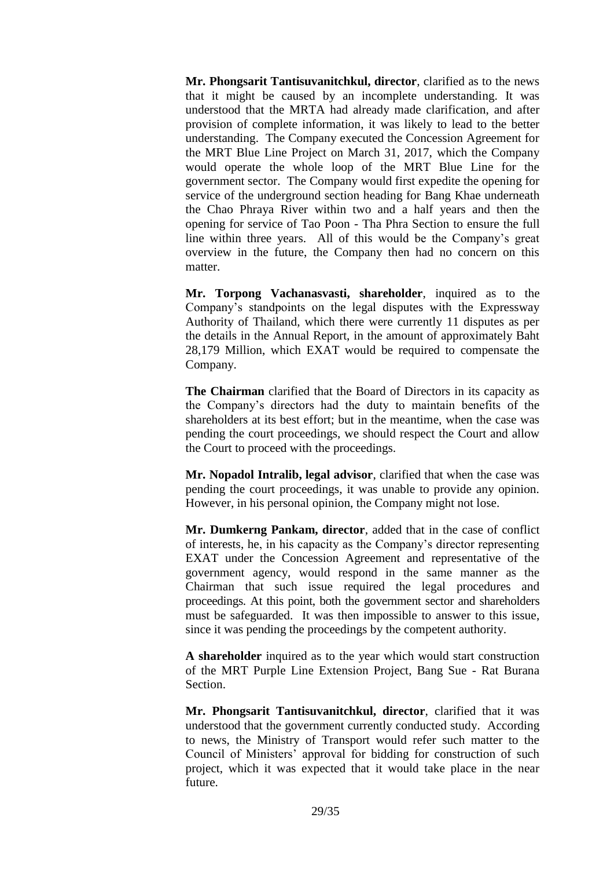**Mr. Phongsarit Tantisuvanitchkul, director**, clarified as to the news that it might be caused by an incomplete understanding. It was understood that the MRTA had already made clarification, and after provision of complete information, it was likely to lead to the better understanding. The Company executed the Concession Agreement for the MRT Blue Line Project on March 31, 2017, which the Company would operate the whole loop of the MRT Blue Line for the government sector. The Company would first expedite the opening for service of the underground section heading for Bang Khae underneath the Chao Phraya River within two and a half years and then the opening for service of Tao Poon - Tha Phra Section to ensure the full line within three years. All of this would be the Company's great overview in the future, the Company then had no concern on this matter.

**Mr. Torpong Vachanasvasti, shareholder**, inquired as to the Company's standpoints on the legal disputes with the Expressway Authority of Thailand, which there were currently 11 disputes as per the details in the Annual Report, in the amount of approximately Baht 28,179 Million, which EXAT would be required to compensate the Company.

**The Chairman** clarified that the Board of Directors in its capacity as the Company's directors had the duty to maintain benefits of the shareholders at its best effort; but in the meantime, when the case was pending the court proceedings, we should respect the Court and allow the Court to proceed with the proceedings.

**Mr. Nopadol Intralib, legal advisor**, clarified that when the case was pending the court proceedings, it was unable to provide any opinion. However, in his personal opinion, the Company might not lose.

**Mr. Dumkerng Pankam, director**, added that in the case of conflict of interests, he, in his capacity as the Company's director representing EXAT under the Concession Agreement and representative of the government agency, would respond in the same manner as the Chairman that such issue required the legal procedures and proceedings. At this point, both the government sector and shareholders must be safeguarded. It was then impossible to answer to this issue, since it was pending the proceedings by the competent authority.

**A shareholder** inquired as to the year which would start construction of the MRT Purple Line Extension Project, Bang Sue - Rat Burana Section.

**Mr. Phongsarit Tantisuvanitchkul, director**, clarified that it was understood that the government currently conducted study. According to news, the Ministry of Transport would refer such matter to the Council of Ministers' approval for bidding for construction of such project, which it was expected that it would take place in the near future.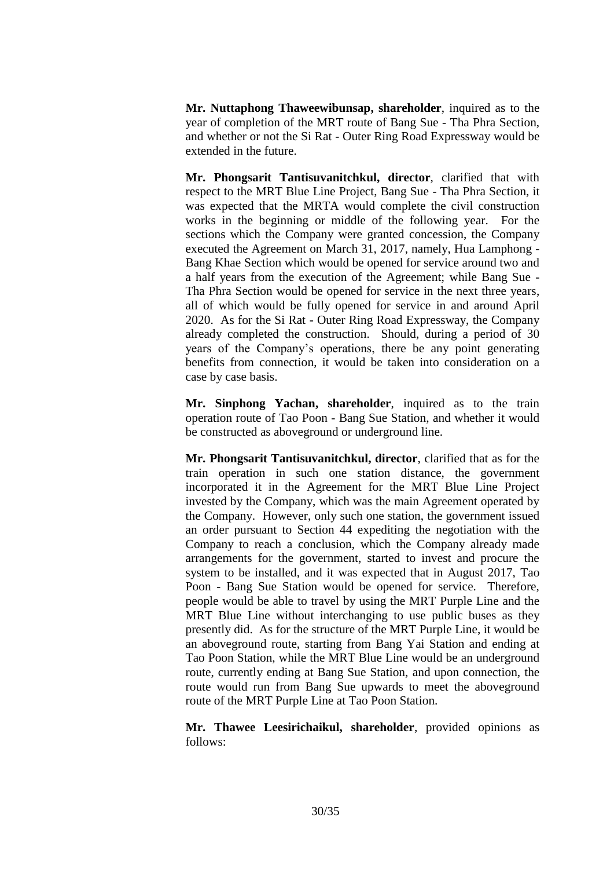**Mr. Nuttaphong Thaweewibunsap, shareholder**, inquired as to the year of completion of the MRT route of Bang Sue - Tha Phra Section, and whether or not the Si Rat - Outer Ring Road Expressway would be extended in the future.

**Mr. Phongsarit Tantisuvanitchkul, director**, clarified that with respect to the MRT Blue Line Project, Bang Sue - Tha Phra Section, it was expected that the MRTA would complete the civil construction works in the beginning or middle of the following year. For the sections which the Company were granted concession, the Company executed the Agreement on March 31, 2017, namely, Hua Lamphong - Bang Khae Section which would be opened for service around two and a half years from the execution of the Agreement; while Bang Sue - Tha Phra Section would be opened for service in the next three years, all of which would be fully opened for service in and around April 2020. As for the Si Rat - Outer Ring Road Expressway, the Company already completed the construction. Should, during a period of 30 years of the Company's operations, there be any point generating benefits from connection, it would be taken into consideration on a case by case basis.

**Mr. Sinphong Yachan, shareholder**, inquired as to the train operation route of Tao Poon - Bang Sue Station, and whether it would be constructed as aboveground or underground line.

**Mr. Phongsarit Tantisuvanitchkul, director**, clarified that as for the train operation in such one station distance, the government incorporated it in the Agreement for the MRT Blue Line Project invested by the Company, which was the main Agreement operated by the Company. However, only such one station, the government issued an order pursuant to Section 44 expediting the negotiation with the Company to reach a conclusion, which the Company already made arrangements for the government, started to invest and procure the system to be installed, and it was expected that in August 2017, Tao Poon - Bang Sue Station would be opened for service. Therefore, people would be able to travel by using the MRT Purple Line and the MRT Blue Line without interchanging to use public buses as they presently did. As for the structure of the MRT Purple Line, it would be an aboveground route, starting from Bang Yai Station and ending at Tao Poon Station, while the MRT Blue Line would be an underground route, currently ending at Bang Sue Station, and upon connection, the route would run from Bang Sue upwards to meet the aboveground route of the MRT Purple Line at Tao Poon Station.

**Mr. Thawee Leesirichaikul, shareholder**, provided opinions as follows: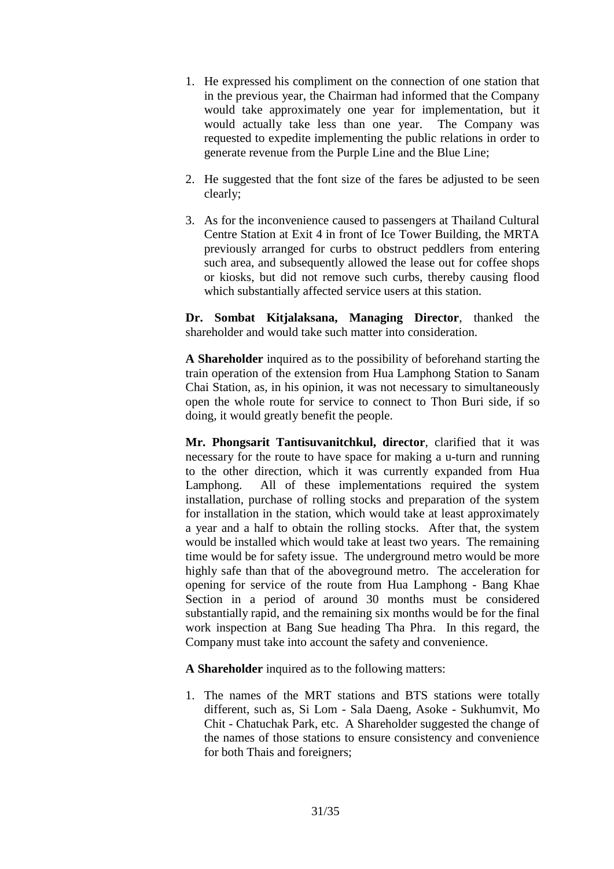- 1. He expressed his compliment on the connection of one station that in the previous year, the Chairman had informed that the Company would take approximately one year for implementation, but it would actually take less than one year. The Company was requested to expedite implementing the public relations in order to generate revenue from the Purple Line and the Blue Line;
- 2. He suggested that the font size of the fares be adjusted to be seen clearly;
- 3. As for the inconvenience caused to passengers at Thailand Cultural Centre Station at Exit 4 in front of Ice Tower Building, the MRTA previously arranged for curbs to obstruct peddlers from entering such area, and subsequently allowed the lease out for coffee shops or kiosks, but did not remove such curbs, thereby causing flood which substantially affected service users at this station.

**Dr. Sombat Kitjalaksana, Managing Director**, thanked the shareholder and would take such matter into consideration.

**A Shareholder** inquired as to the possibility of beforehand starting the train operation of the extension from Hua Lamphong Station to Sanam Chai Station, as, in his opinion, it was not necessary to simultaneously open the whole route for service to connect to Thon Buri side, if so doing, it would greatly benefit the people.

**Mr. Phongsarit Tantisuvanitchkul, director**, clarified that it was necessary for the route to have space for making a u-turn and running to the other direction, which it was currently expanded from Hua Lamphong. All of these implementations required the system installation, purchase of rolling stocks and preparation of the system for installation in the station, which would take at least approximately a year and a half to obtain the rolling stocks. After that, the system would be installed which would take at least two years. The remaining time would be for safety issue. The underground metro would be more highly safe than that of the aboveground metro. The acceleration for opening for service of the route from Hua Lamphong - Bang Khae Section in a period of around 30 months must be considered substantially rapid, and the remaining six months would be for the final work inspection at Bang Sue heading Tha Phra. In this regard, the Company must take into account the safety and convenience.

**A Shareholder** inquired as to the following matters:

1. The names of the MRT stations and BTS stations were totally different, such as, Si Lom - Sala Daeng, Asoke - Sukhumvit, Mo Chit - Chatuchak Park, etc. A Shareholder suggested the change of the names of those stations to ensure consistency and convenience for both Thais and foreigners;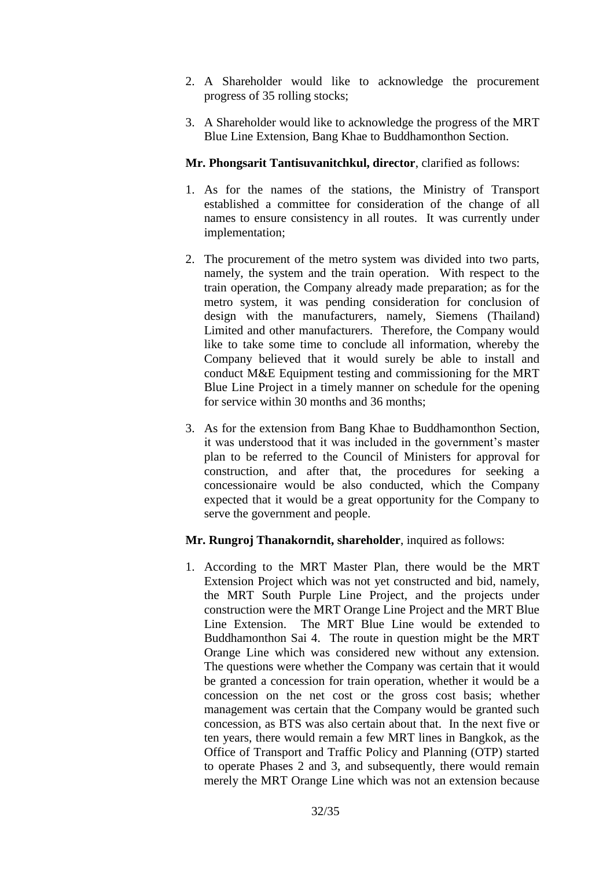- 2. A Shareholder would like to acknowledge the procurement progress of 35 rolling stocks;
- 3. A Shareholder would like to acknowledge the progress of the MRT Blue Line Extension, Bang Khae to Buddhamonthon Section.

## **Mr. Phongsarit Tantisuvanitchkul, director**, clarified as follows:

- 1. As for the names of the stations, the Ministry of Transport established a committee for consideration of the change of all names to ensure consistency in all routes. It was currently under implementation;
- 2. The procurement of the metro system was divided into two parts, namely, the system and the train operation. With respect to the train operation, the Company already made preparation; as for the metro system, it was pending consideration for conclusion of design with the manufacturers, namely, Siemens (Thailand) Limited and other manufacturers. Therefore, the Company would like to take some time to conclude all information, whereby the Company believed that it would surely be able to install and conduct M&E Equipment testing and commissioning for the MRT Blue Line Project in a timely manner on schedule for the opening for service within 30 months and 36 months;
- 3. As for the extension from Bang Khae to Buddhamonthon Section, it was understood that it was included in the government's master plan to be referred to the Council of Ministers for approval for construction, and after that, the procedures for seeking a concessionaire would be also conducted, which the Company expected that it would be a great opportunity for the Company to serve the government and people.

#### **Mr. Rungroj Thanakorndit, shareholder**, inquired as follows:

1. According to the MRT Master Plan, there would be the MRT Extension Project which was not yet constructed and bid, namely, the MRT South Purple Line Project, and the projects under construction were the MRT Orange Line Project and the MRT Blue Line Extension. The MRT Blue Line would be extended to Buddhamonthon Sai 4. The route in question might be the MRT Orange Line which was considered new without any extension. The questions were whether the Company was certain that it would be granted a concession for train operation, whether it would be a concession on the net cost or the gross cost basis; whether management was certain that the Company would be granted such concession, as BTS was also certain about that. In the next five or ten years, there would remain a few MRT lines in Bangkok, as the Office of Transport and Traffic Policy and Planning (OTP) started to operate Phases 2 and 3, and subsequently, there would remain merely the MRT Orange Line which was not an extension because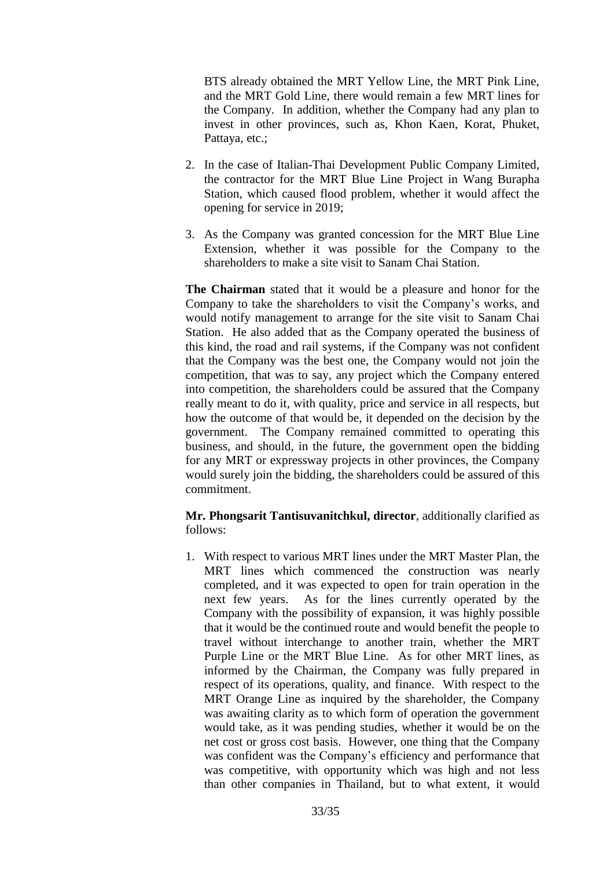BTS already obtained the MRT Yellow Line, the MRT Pink Line, and the MRT Gold Line, there would remain a few MRT lines for the Company. In addition, whether the Company had any plan to invest in other provinces, such as, Khon Kaen, Korat, Phuket, Pattaya, etc.;

- 2. In the case of Italian-Thai Development Public Company Limited, the contractor for the MRT Blue Line Project in Wang Burapha Station, which caused flood problem, whether it would affect the opening for service in 2019;
- 3. As the Company was granted concession for the MRT Blue Line Extension, whether it was possible for the Company to the shareholders to make a site visit to Sanam Chai Station.

**The Chairman** stated that it would be a pleasure and honor for the Company to take the shareholders to visit the Company's works, and would notify management to arrange for the site visit to Sanam Chai Station. He also added that as the Company operated the business of this kind, the road and rail systems, if the Company was not confident that the Company was the best one, the Company would not join the competition, that was to say, any project which the Company entered into competition, the shareholders could be assured that the Company really meant to do it, with quality, price and service in all respects, but how the outcome of that would be, it depended on the decision by the government. The Company remained committed to operating this business, and should, in the future, the government open the bidding for any MRT or expressway projects in other provinces, the Company would surely join the bidding, the shareholders could be assured of this commitment.

**Mr. Phongsarit Tantisuvanitchkul, director**, additionally clarified as follows:

1. With respect to various MRT lines under the MRT Master Plan, the MRT lines which commenced the construction was nearly completed, and it was expected to open for train operation in the next few years. As for the lines currently operated by the Company with the possibility of expansion, it was highly possible that it would be the continued route and would benefit the people to travel without interchange to another train, whether the MRT Purple Line or the MRT Blue Line. As for other MRT lines, as informed by the Chairman, the Company was fully prepared in respect of its operations, quality, and finance. With respect to the MRT Orange Line as inquired by the shareholder, the Company was awaiting clarity as to which form of operation the government would take, as it was pending studies, whether it would be on the net cost or gross cost basis. However, one thing that the Company was confident was the Company's efficiency and performance that was competitive, with opportunity which was high and not less than other companies in Thailand, but to what extent, it would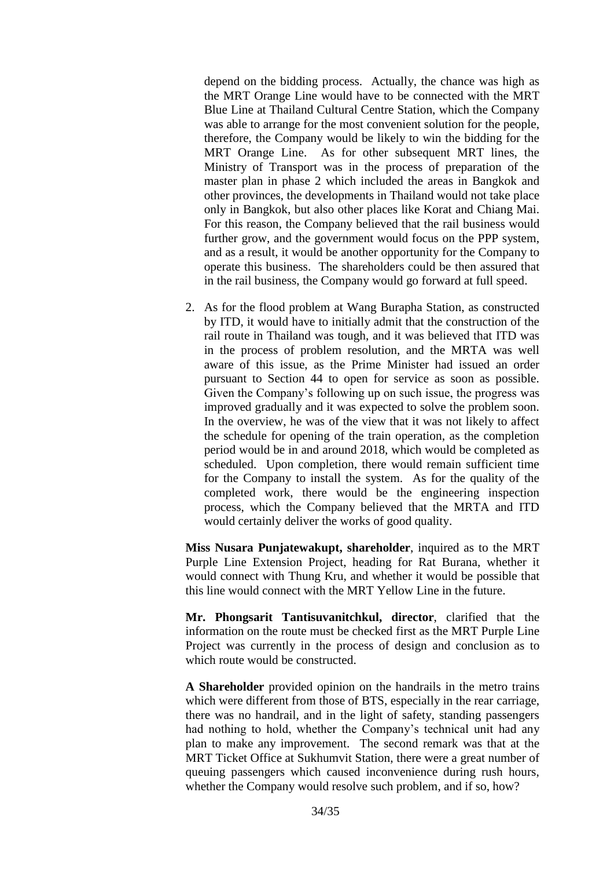depend on the bidding process. Actually, the chance was high as the MRT Orange Line would have to be connected with the MRT Blue Line at Thailand Cultural Centre Station, which the Company was able to arrange for the most convenient solution for the people, therefore, the Company would be likely to win the bidding for the MRT Orange Line. As for other subsequent MRT lines, the Ministry of Transport was in the process of preparation of the master plan in phase 2 which included the areas in Bangkok and other provinces, the developments in Thailand would not take place only in Bangkok, but also other places like Korat and Chiang Mai. For this reason, the Company believed that the rail business would further grow, and the government would focus on the PPP system, and as a result, it would be another opportunity for the Company to operate this business. The shareholders could be then assured that in the rail business, the Company would go forward at full speed.

2. As for the flood problem at Wang Burapha Station, as constructed by ITD, it would have to initially admit that the construction of the rail route in Thailand was tough, and it was believed that ITD was in the process of problem resolution, and the MRTA was well aware of this issue, as the Prime Minister had issued an order pursuant to Section 44 to open for service as soon as possible. Given the Company's following up on such issue, the progress was improved gradually and it was expected to solve the problem soon. In the overview, he was of the view that it was not likely to affect the schedule for opening of the train operation, as the completion period would be in and around 2018, which would be completed as scheduled. Upon completion, there would remain sufficient time for the Company to install the system. As for the quality of the completed work, there would be the engineering inspection process, which the Company believed that the MRTA and ITD would certainly deliver the works of good quality.

**Miss Nusara Punjatewakupt, shareholder**, inquired as to the MRT Purple Line Extension Project, heading for Rat Burana, whether it would connect with Thung Kru, and whether it would be possible that this line would connect with the MRT Yellow Line in the future.

**Mr. Phongsarit Tantisuvanitchkul, director**, clarified that the information on the route must be checked first as the MRT Purple Line Project was currently in the process of design and conclusion as to which route would be constructed.

**A Shareholder** provided opinion on the handrails in the metro trains which were different from those of BTS, especially in the rear carriage, there was no handrail, and in the light of safety, standing passengers had nothing to hold, whether the Company's technical unit had any plan to make any improvement. The second remark was that at the MRT Ticket Office at Sukhumvit Station, there were a great number of queuing passengers which caused inconvenience during rush hours, whether the Company would resolve such problem, and if so, how?